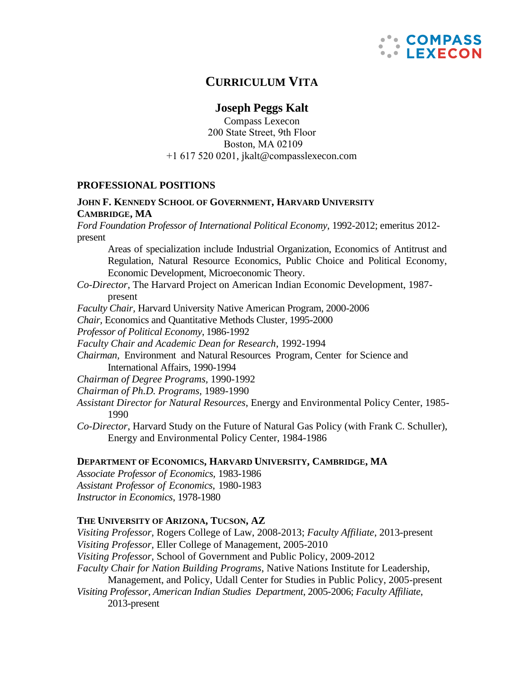

# **CURRICULUM VITA**

# **Joseph Peggs Kalt**

Compass Lexecon 200 State Street, 9th Floor Boston, MA 02109 +1 617 520 0201, jkalt@compass[lexecon.c](mailto:jkalt@lexecon.com)om

### **PROFESSIONAL POSITIONS**

# **JOHN F. KENNEDY SCHOOL OF GOVERNMENT, HARVARD UNIVERSITY CAMBRIDGE, MA**

*Ford Foundation Professor of International Political Economy*, 1992-2012; emeritus 2012 present

Areas of specialization include Industrial Organization, Economics of Antitrust and Regulation, Natural Resource Economics, Public Choice and Political Economy, Economic Development, Microeconomic Theory.

- *Co-Director*, The Harvard Project on American Indian Economic Development, 1987 present
- *Faculty Chair,* Harvard University Native American Program, 2000-2006
- *Chair,* Economics and Quantitative Methods Cluster*,* 1995-2000
- *Professor of Political Economy*, 1986-1992

*Faculty Chair and Academic Dean for Research*, 1992-1994

*Chairman,* Environment and Natural Resources Program, Center for Science and International Affairs, 1990-1994

*Chairman of Degree Programs,* 1990-1992

- *Chairman of Ph.D. Programs,* 1989-1990
- *Assistant Director for Natural Resources*, Energy and Environmental Policy Center, 1985- 1990
- *Co-Director*, Harvard Study on the Future of Natural Gas Policy (with Frank C. Schuller), Energy and Environmental Policy Center, 1984-1986

### **DEPARTMENT OF ECONOMICS, HARVARD UNIVERSITY, CAMBRIDGE, MA**

*Associate Professor of Economics,* 1983-1986 *Assistant Professor of Economics*, 1980-1983 *Instructor in Economics*, 1978-1980

### **THE UNIVERSITY OF ARIZONA, TUCSON, AZ**

*Visiting Professor,* Rogers College of Law, 2008-2013; *Faculty Affiliate*, 2013-present *Visiting Professor,* Eller College of Management, 2005-2010 *Visiting Professor,* School of Government and Public Policy, 2009-2012 *Faculty Chair for Nation Building Programs*, Native Nations Institute for Leadership, Management, and Policy, Udall Center for Studies in Public Policy, 2005-present *Visiting Professor, American Indian Studies Department,* 2005-2006; *Faculty Affiliate*, 2013-present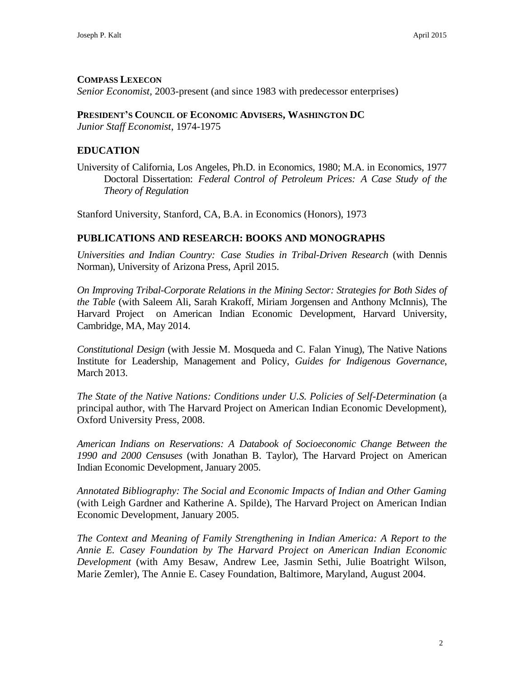# **COMPASS LEXECON**

*Senior Economist*, 2003-present (and since 1983 with predecessor enterprises)

## **PRESIDENT'S COUNCIL OF ECONOMIC ADVISERS, WASHINGTON DC**

*Junior Staff Economist*, 1974-1975

# **EDUCATION**

University of California, Los Angeles, Ph.D. in Economics, 1980; M.A. in Economics, 1977 Doctoral Dissertation: *Federal Control of Petroleum Prices: A Case Study of the Theory of Regulation*

Stanford University, Stanford, CA, B.A. in Economics (Honors), 1973

# **PUBLICATIONS AND RESEARCH: BOOKS AND MONOGRAPHS**

*Universities and Indian Country: Case Studies in Tribal-Driven Research* (with Dennis Norman), University of Arizona Press, April 2015.

*On Improving Tribal-Corporate Relations in the Mining Sector: Strategies for Both Sides of the Table* (with Saleem Ali, Sarah Krakoff, Miriam Jorgensen and Anthony McInnis), The Harvard Project on American Indian Economic Development, Harvard University, Cambridge, MA, May 2014.

*Constitutional Design* (with Jessie M. Mosqueda and C. Falan Yinug), The Native Nations Institute for Leadership, Management and Policy, *Guides for Indigenous Governance*, March 2013.

*The State of the Native Nations: Conditions under U.S. Policies of Self-Determination* (a principal author, with The Harvard Project on American Indian Economic Development), Oxford University Press, 2008.

*American Indians on Reservations: A Databook of Socioeconomic Change Between the 1990 and 2000 Censuses* (with Jonathan B. Taylor), The Harvard Project on American Indian Economic Development, January 2005.

*Annotated Bibliography: The Social and Economic Impacts of Indian and Other Gaming*  (with Leigh Gardner and Katherine A. Spilde), The Harvard Project on American Indian Economic Development, January 2005.

*The Context and Meaning of Family Strengthening in Indian America: A Report to the Annie E. Casey Foundation by The Harvard Project on American Indian Economic Development* (with Amy Besaw, Andrew Lee, Jasmin Sethi, Julie Boatright Wilson, Marie Zemler), The Annie E. Casey Foundation, Baltimore, Maryland, August 2004.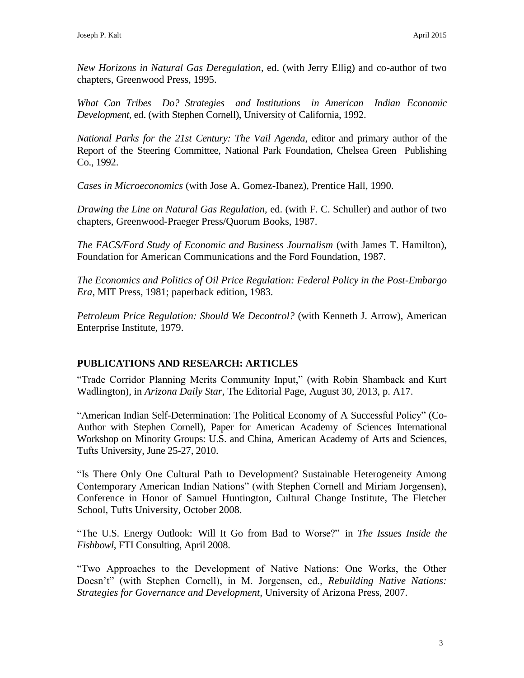*New Horizons in Natural Gas Deregulation*, ed. (with Jerry Ellig) and co-author of two chapters, Greenwood Press, 1995.

*What Can Tribes Do? Strategies and Institutions in American Indian Economic Development*, ed. (with Stephen Cornell), University of California, 1992.

*National Parks for the 21st Century: The Vail Agenda*, editor and primary author of the Report of the Steering Committee, National Park Foundation, Chelsea Green Publishing Co., 1992.

*Cases in Microeconomics* (with Jose A. Gomez-Ibanez), Prentice Hall, 1990.

*Drawing the Line on Natural Gas Regulation,* ed. (with F. C. Schuller) and author of two chapters, Greenwood-Praeger Press/Quorum Books, 1987.

*The FACS/Ford Study of Economic and Business Journalism* (with James T. Hamilton), Foundation for American Communications and the Ford Foundation, 1987.

*The Economics and Politics of Oil Price Regulation: Federal Policy in the Post-Embargo Era*, MIT Press, 1981; paperback edition, 1983.

*Petroleum Price Regulation: Should We Decontrol?* (with Kenneth J. Arrow), American Enterprise Institute, 1979.

# **PUBLICATIONS AND RESEARCH: ARTICLES**

"Trade Corridor Planning Merits Community Input," (with Robin Shamback and Kurt Wadlington), in *Arizona Daily Star*, The Editorial Page, August 30, 2013, p. A17.

"American Indian Self-Determination: The Political Economy of A Successful Policy" (Co-Author with Stephen Cornell), Paper for American Academy of Sciences International Workshop on Minority Groups: U.S. and China, American Academy of Arts and Sciences, Tufts University, June 25-27, 2010.

"Is There Only One Cultural Path to Development? Sustainable Heterogeneity Among Contemporary American Indian Nations" (with Stephen Cornell and Miriam Jorgensen), Conference in Honor of Samuel Huntington, Cultural Change Institute, The Fletcher School, Tufts University, October 2008.

"The U.S. Energy Outlook: Will It Go from Bad to Worse?" in *The Issues Inside the Fishbowl*, FTI Consulting, April 2008.

"Two Approaches to the Development of Native Nations: One Works, the Other Doesn't" (with Stephen Cornell), in M. Jorgensen, ed., *Rebuilding Native Nations: Strategies for Governance and Development,* University of Arizona Press, 2007.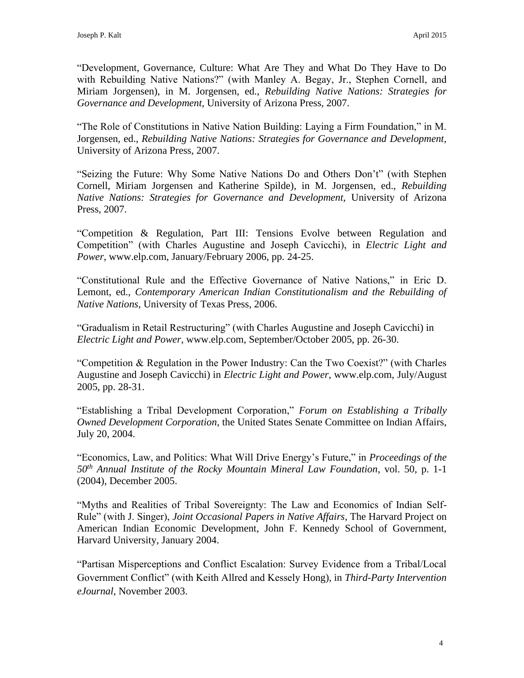"Development, Governance, Culture: What Are They and What Do They Have to Do with Rebuilding Native Nations?" (with Manley A. Begay, Jr., Stephen Cornell, and Miriam Jorgensen), in M. Jorgensen, ed., *Rebuilding Native Nations: Strategies for Governance and Development,* University of Arizona Press, 2007.

"The Role of Constitutions in Native Nation Building: Laying a Firm Foundation," in M. Jorgensen, ed., *Rebuilding Native Nations: Strategies for Governance and Development,*  University of Arizona Press, 2007.

"Seizing the Future: Why Some Native Nations Do and Others Don't" (with Stephen Cornell, Miriam Jorgensen and Katherine Spilde), in M. Jorgensen, ed., *Rebuilding Native Nations: Strategies for Governance and Development,* University of Arizona Press, 2007.

"Competition & Regulation, Part III: Tensions Evolve between Regulation and Competition" (with Charles Augustine and Joseph Cavicchi), in *Electric Light and Power*, [www.elp.com,](http://www.elp.com/) January/February 2006, pp. 24-25.

"Constitutional Rule and the Effective Governance of Native Nations," in Eric D. Lemont, ed., *Contemporary American Indian Constitutionalism and the Rebuilding of Native Nations,* University of Texas Press, 2006.

"Gradualism in Retail Restructuring" (with Charles Augustine and Joseph Cavicchi) in *Electric Light and Power*, [www.elp.com, S](http://www.elp.com/)eptember/October 2005, pp. 26-30.

"Competition & Regulation in the Power Industry: Can the Two Coexist?" (with Charles Augustine and Joseph Cavicchi) in *Electric Light and Power*, [www.elp.com, J](http://www.elp.com/)uly/August 2005, pp. 28-31.

"Establishing a Tribal Development Corporation," *Forum on Establishing a Tribally Owned Development Corporation*, the United States Senate Committee on Indian Affairs, July 20, 2004.

"Economics, Law, and Politics: What Will Drive Energy's Future," in *Proceedings of the 50th Annual Institute of the Rocky Mountain Mineral Law Foundation*, vol. 50, p. 1-1 (2004), December 2005.

"Myths and Realities of Tribal Sovereignty: The Law and Economics of Indian Self-Rule" (with J. Singer), *Joint Occasional Papers in Native Affairs*, The Harvard Project on American Indian Economic Development, John F. Kennedy School of Government, Harvard University, January 2004.

"Partisan Misperceptions and Conflict Escalation: Survey Evidence from a Tribal/Local Government Conflict" (with Keith Allred and Kessely Hong), in *Third-Party Intervention eJournal*, November 2003.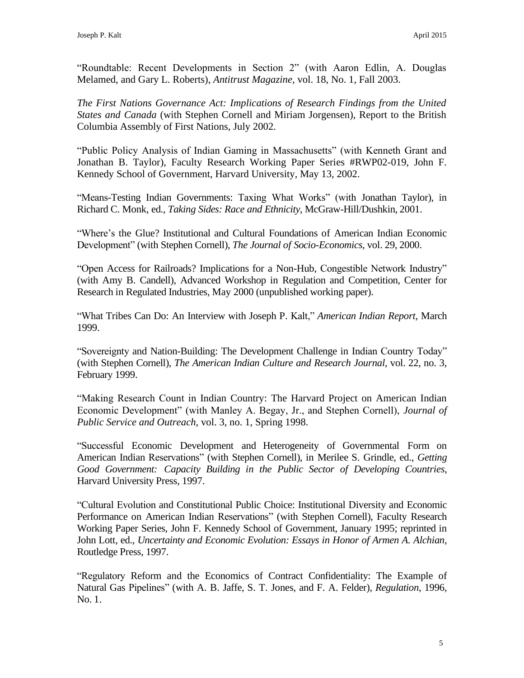"Roundtable: Recent Developments in Section 2" (with Aaron Edlin, A. Douglas Melamed, and Gary L. Roberts), *Antitrust Magazine,* vol. 18, No. 1, Fall 2003.

*The First Nations Governance Act: Implications of Research Findings from the United States and Canada* (with Stephen Cornell and Miriam Jorgensen), Report to the British Columbia Assembly of First Nations, July 2002.

"Public Policy Analysis of Indian Gaming in Massachusetts" (with Kenneth Grant and Jonathan B. Taylor), Faculty Research Working Paper Series #RWP02-019, John F. Kennedy School of Government, Harvard University, May 13, 2002.

"Means-Testing Indian Governments: Taxing What Works" (with Jonathan Taylor), in Richard C. Monk, ed., *Taking Sides: Race and Ethnicity*, McGraw-Hill/Dushkin, 2001.

"Where's the Glue? Institutional and Cultural Foundations of American Indian Economic Development" (with Stephen Cornell), *The Journal of Socio-Economics*, vol. 29, 2000.

"Open Access for Railroads? Implications for a Non-Hub, Congestible Network Industry" (with Amy B. Candell), Advanced Workshop in Regulation and Competition, Center for Research in Regulated Industries, May 2000 (unpublished working paper).

"What Tribes Can Do: An Interview with Joseph P. Kalt," *American Indian Report*, March 1999.

"Sovereignty and Nation-Building: The Development Challenge in Indian Country Today" (with Stephen Cornell), *The American Indian Culture and Research Journal*, vol. 22, no. 3, February 1999.

"Making Research Count in Indian Country: The Harvard Project on American Indian Economic Development" (with Manley A. Begay, Jr., and Stephen Cornell), *Journal of Public Service and Outreach*, vol. 3, no. 1, Spring 1998.

"Successful Economic Development and Heterogeneity of Governmental Form on American Indian Reservations" (with Stephen Cornell), in Merilee S. Grindle, ed., *Getting Good Government: Capacity Building in the Public Sector of Developing Countries*, Harvard University Press, 1997.

"Cultural Evolution and Constitutional Public Choice: Institutional Diversity and Economic Performance on American Indian Reservations" (with Stephen Cornell), Faculty Research Working Paper Series, John F. Kennedy School of Government, January 1995; reprinted in John Lott, ed., *Uncertainty and Economic Evolution: Essays in Honor of Armen A. Alchian*, Routledge Press, 1997.

"Regulatory Reform and the Economics of Contract Confidentiality: The Example of Natural Gas Pipelines" (with A. B. Jaffe, S. T. Jones, and F. A. Felder), *Regulation*, 1996, No. 1.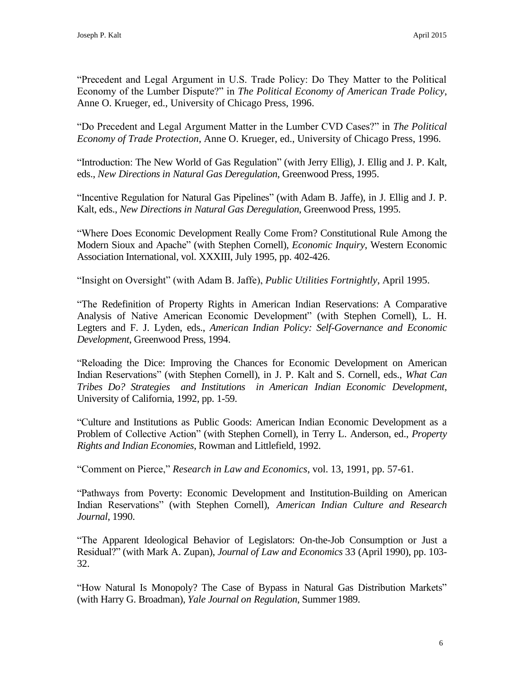"Precedent and Legal Argument in U.S. Trade Policy: Do They Matter to the Political Economy of the Lumber Dispute?" in *The Political Economy of American Trade Policy*, Anne O. Krueger, ed., University of Chicago Press, 1996.

"Do Precedent and Legal Argument Matter in the Lumber CVD Cases?" in *The Political Economy of Trade Protection*, Anne O. Krueger, ed., University of Chicago Press, 1996.

"Introduction: The New World of Gas Regulation" (with Jerry Ellig), J. Ellig and J. P. Kalt, eds., *New Directions in Natural Gas Deregulation*, Greenwood Press, 1995.

"Incentive Regulation for Natural Gas Pipelines" (with Adam B. Jaffe), in J. Ellig and J. P. Kalt, eds., *New Directions in Natural Gas Deregulation*, Greenwood Press, 1995.

"Where Does Economic Development Really Come From? Constitutional Rule Among the Modern Sioux and Apache" (with Stephen Cornell), *Economic Inquiry*, Western Economic Association International, vol. XXXIII, July 1995, pp. 402-426.

"Insight on Oversight" (with Adam B. Jaffe), *Public Utilities Fortnightly*, April 1995.

"The Redefinition of Property Rights in American Indian Reservations: A Comparative Analysis of Native American Economic Development" (with Stephen Cornell), L. H. Legters and F. J. Lyden, eds., *American Indian Policy: Self-Governance and Economic Development*, Greenwood Press, 1994.

"Reloading the Dice: Improving the Chances for Economic Development on American Indian Reservations" (with Stephen Cornell), in J. P. Kalt and S. Cornell, eds., *What Can Tribes Do? Strategies and Institutions in American Indian Economic Development*, University of California, 1992, pp. 1-59.

"Culture and Institutions as Public Goods: American Indian Economic Development as a Problem of Collective Action" (with Stephen Cornell), in Terry L. Anderson, ed., *Property Rights and Indian Economies*, Rowman and Littlefield, 1992.

"Comment on Pierce," *Research in Law and Economics*, vol. 13, 1991, pp. 57-61.

"Pathways from Poverty: Economic Development and Institution-Building on American Indian Reservations" (with Stephen Cornell), *American Indian Culture and Research Journal*, 1990.

"The Apparent Ideological Behavior of Legislators: On-the-Job Consumption or Just a Residual?" (with Mark A. Zupan), *Journal of Law and Economics* 33 (April 1990), pp. 103- 32.

"How Natural Is Monopoly? The Case of Bypass in Natural Gas Distribution Markets" (with Harry G. Broadman), *Yale Journal on Regulation*, Summer 1989.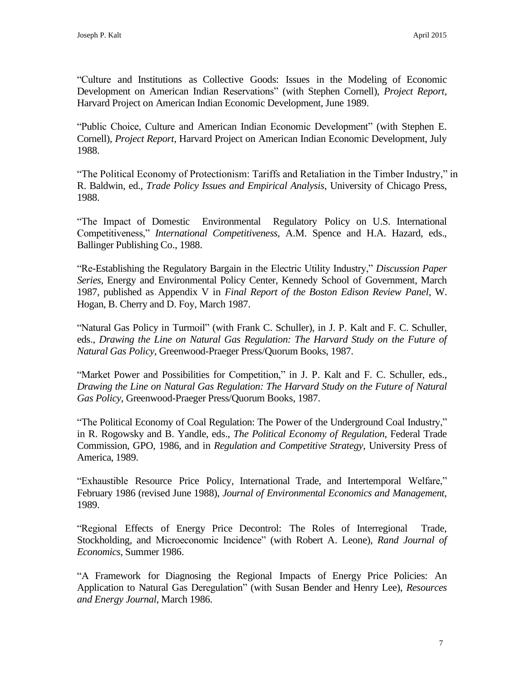"Culture and Institutions as Collective Goods: Issues in the Modeling of Economic Development on American Indian Reservations" (with Stephen Cornell), *Project Report*, Harvard Project on American Indian Economic Development, June 1989.

"Public Choice, Culture and American Indian Economic Development" (with Stephen E. Cornell), *Project Report*, Harvard Project on American Indian Economic Development, July 1988.

"The Political Economy of Protectionism: Tariffs and Retaliation in the Timber Industry," in R. Baldwin, ed., *Trade Policy Issues and Empirical Analysis*, University of Chicago Press, 1988.

"The Impact of Domestic Environmental Regulatory Policy on U.S. International Competitiveness," *International Competitiveness*, A.M. Spence and H.A. Hazard, eds., Ballinger Publishing Co., 1988.

"Re-Establishing the Regulatory Bargain in the Electric Utility Industry," *Discussion Paper Series*, Energy and Environmental Policy Center, Kennedy School of Government, March 1987, published as Appendix V in *Final Report of the Boston Edison Review Panel*, W. Hogan, B. Cherry and D. Foy, March 1987.

"Natural Gas Policy in Turmoil" (with Frank C. Schuller), in J. P. Kalt and F. C. Schuller, eds., *Drawing the Line on Natural Gas Regulation: The Harvard Study on the Future of Natural Gas Policy*, Greenwood-Praeger Press/Quorum Books, 1987.

"Market Power and Possibilities for Competition," in J. P. Kalt and F. C. Schuller, eds., *Drawing the Line on Natural Gas Regulation: The Harvard Study on the Future of Natural Gas Policy*, Greenwood-Praeger Press/Quorum Books, 1987.

"The Political Economy of Coal Regulation: The Power of the Underground Coal Industry," in R. Rogowsky and B. Yandle, eds., *The Political Economy of Regulation*, Federal Trade Commission, GPO, 1986, and in *Regulation and Competitive Strategy*, University Press of America, 1989.

"Exhaustible Resource Price Policy, International Trade, and Intertemporal Welfare," February 1986 (revised June 1988), *Journal of Environmental Economics and Management*, 1989.

"Regional Effects of Energy Price Decontrol: The Roles of Interregional Trade, Stockholding, and Microeconomic Incidence" (with Robert A. Leone), *Rand Journal of Economics*, Summer 1986.

"A Framework for Diagnosing the Regional Impacts of Energy Price Policies: An Application to Natural Gas Deregulation" (with Susan Bender and Henry Lee), *Resources and Energy Journal*, March 1986.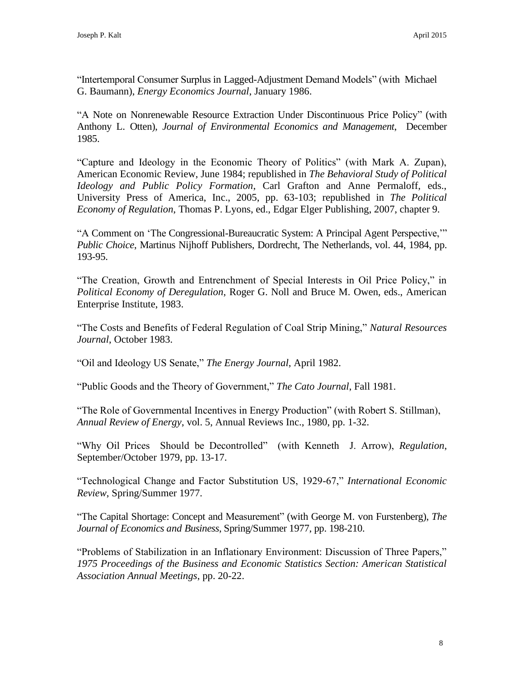"Intertemporal Consumer Surplus in Lagged-Adjustment Demand Models" (with Michael G. Baumann), *Energy Economics Journal*, January 1986.

"A Note on Nonrenewable Resource Extraction Under Discontinuous Price Policy" (with Anthony L. Otten), *Journal of Environmental Economics and Management*, December 1985.

"Capture and Ideology in the Economic Theory of Politics" (with Mark A. Zupan), American Economic Review, June 1984; republished in *The Behavioral Study of Political Ideology and Public Policy Formation*, Carl Grafton and Anne Permaloff, eds., University Press of America, Inc., 2005, pp. 63-103; republished in *The Political Economy of Regulation*, Thomas P. Lyons, ed., Edgar Elger Publishing, 2007, chapter 9.

"A Comment on 'The Congressional-Bureaucratic System: A Principal Agent Perspective,'" *Public Choice*, Martinus Nijhoff Publishers, Dordrecht, The Netherlands, vol. 44, 1984, pp. 193-95.

"The Creation, Growth and Entrenchment of Special Interests in Oil Price Policy," in *Political Economy of Deregulation*, Roger G. Noll and Bruce M. Owen, eds., American Enterprise Institute, 1983.

"The Costs and Benefits of Federal Regulation of Coal Strip Mining," *Natural Resources Journal*, October 1983.

"Oil and Ideology US Senate," *The Energy Journal*, April 1982.

"Public Goods and the Theory of Government," *The Cato Journal*, Fall 1981.

"The Role of Governmental Incentives in Energy Production" (with Robert S. Stillman), *Annual Review of Energy*, vol. 5, Annual Reviews Inc., 1980, pp. 1-32.

"Why Oil Prices Should be Decontrolled" (with Kenneth J. Arrow), *Regulation*, September/October 1979, pp. 13-17.

"Technological Change and Factor Substitution US, 1929-67," *International Economic Review*, Spring/Summer 1977.

"The Capital Shortage: Concept and Measurement" (with George M. von Furstenberg), *The Journal of Economics and Business*, Spring/Summer 1977, pp. 198-210.

"Problems of Stabilization in an Inflationary Environment: Discussion of Three Papers," *1975 Proceedings of the Business and Economic Statistics Section: American Statistical Association Annual Meetings*, pp. 20-22.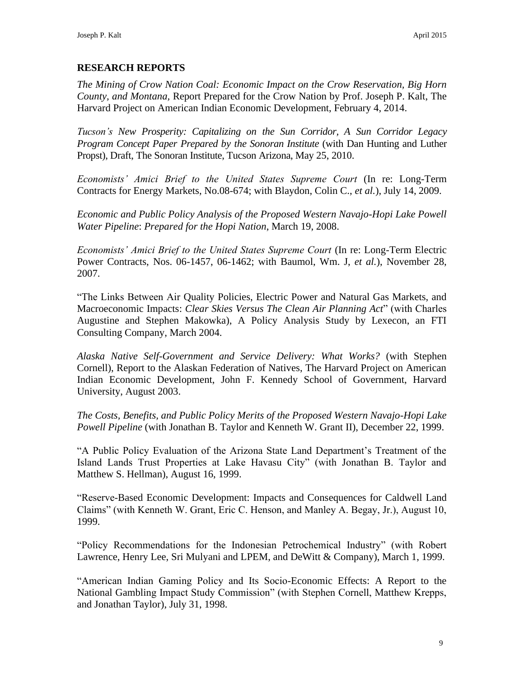# **RESEARCH REPORTS**

*The Mining of Crow Nation Coal: Economic Impact on the Crow Reservation, Big Horn County, and Montana,* Report Prepared for the Crow Nation by Prof. Joseph P. Kalt, The Harvard Project on American Indian Economic Development, February 4, 2014.

*Tucson's New Prosperity: Capitalizing on the Sun Corridor, A Sun Corridor Legacy Program Concept Paper Prepared by the Sonoran Institute* (with Dan Hunting and Luther Propst), Draft, The Sonoran Institute, Tucson Arizona, May 25, 2010.

*Economists' Amici Brief to the United States Supreme Court* (In re: Long-Term Contracts for Energy Markets, No.08-674; with Blaydon, Colin C., *et al.*), July 14, 2009.

*Economic and Public Policy Analysis of the Proposed Western Navajo-Hopi Lake Powell Water Pipeline*: *Prepared for the Hopi Nation*, March 19, 2008.

*Economists' Amici Brief to the United States Supreme Court* (In re: Long-Term Electric Power Contracts, Nos. 06-1457, 06-1462; with Baumol, Wm. J, *et al.*), November 28, 2007.

"The Links Between Air Quality Policies, Electric Power and Natural Gas Markets, and Macroeconomic Impacts: *Clear Skies Versus The Clean Air Planning Act*" (with Charles Augustine and Stephen Makowka), A Policy Analysis Study by Lexecon, an FTI Consulting Company, March 2004.

*Alaska Native Self-Government and Service Delivery: What Works?* (with Stephen Cornell), Report to the Alaskan Federation of Natives, The Harvard Project on American Indian Economic Development, John F. Kennedy School of Government, Harvard University, August 2003.

*The Costs, Benefits, and Public Policy Merits of the Proposed Western Navajo-Hopi Lake Powell Pipeline* (with Jonathan B. Taylor and Kenneth W. Grant II), December 22, 1999.

"A Public Policy Evaluation of the Arizona State Land Department's Treatment of the Island Lands Trust Properties at Lake Havasu City" (with Jonathan B. Taylor and Matthew S. Hellman), August 16, 1999.

"Reserve-Based Economic Development: Impacts and Consequences for Caldwell Land Claims" (with Kenneth W. Grant, Eric C. Henson, and Manley A. Begay, Jr.), August 10, 1999.

"Policy Recommendations for the Indonesian Petrochemical Industry" (with Robert Lawrence, Henry Lee, Sri Mulyani and LPEM, and DeWitt & Company), March 1, 1999.

"American Indian Gaming Policy and Its Socio-Economic Effects: A Report to the National Gambling Impact Study Commission" (with Stephen Cornell, Matthew Krepps, and Jonathan Taylor), July 31, 1998.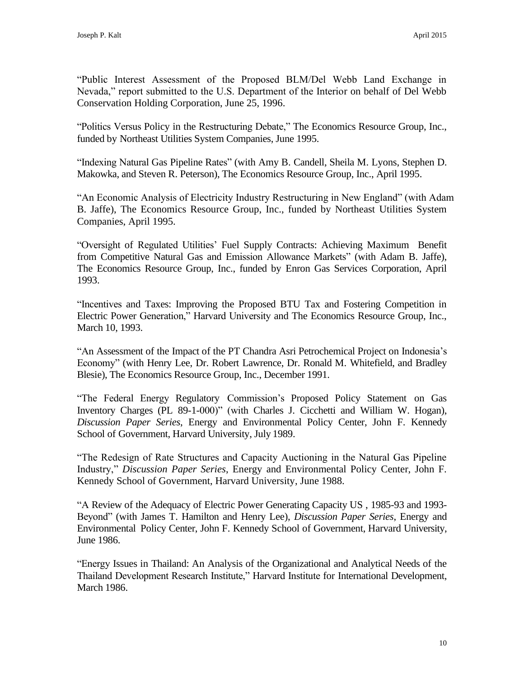"Public Interest Assessment of the Proposed BLM/Del Webb Land Exchange in Nevada," report submitted to the U.S. Department of the Interior on behalf of Del Webb Conservation Holding Corporation, June 25, 1996.

"Politics Versus Policy in the Restructuring Debate," The Economics Resource Group, Inc., funded by Northeast Utilities System Companies, June 1995.

"Indexing Natural Gas Pipeline Rates" (with Amy B. Candell, Sheila M. Lyons, Stephen D. Makowka, and Steven R. Peterson), The Economics Resource Group, Inc., April 1995.

"An Economic Analysis of Electricity Industry Restructuring in New England" (with Adam B. Jaffe), The Economics Resource Group, Inc., funded by Northeast Utilities System Companies, April 1995.

"Oversight of Regulated Utilities' Fuel Supply Contracts: Achieving Maximum Benefit from Competitive Natural Gas and Emission Allowance Markets" (with Adam B. Jaffe), The Economics Resource Group, Inc., funded by Enron Gas Services Corporation, April 1993.

"Incentives and Taxes: Improving the Proposed BTU Tax and Fostering Competition in Electric Power Generation," Harvard University and The Economics Resource Group, Inc., March 10, 1993.

"An Assessment of the Impact of the PT Chandra Asri Petrochemical Project on Indonesia's Economy" (with Henry Lee, Dr. Robert Lawrence, Dr. Ronald M. Whitefield, and Bradley Blesie), The Economics Resource Group, Inc., December 1991.

"The Federal Energy Regulatory Commission's Proposed Policy Statement on Gas Inventory Charges (PL 89-1-000)" (with Charles J. Cicchetti and William W. Hogan), *Discussion Paper Series*, Energy and Environmental Policy Center, John F. Kennedy School of Government, Harvard University, July 1989.

"The Redesign of Rate Structures and Capacity Auctioning in the Natural Gas Pipeline Industry," *Discussion Paper Series*, Energy and Environmental Policy Center, John F. Kennedy School of Government, Harvard University, June 1988.

"A Review of the Adequacy of Electric Power Generating Capacity US , 1985-93 and 1993- Beyond" (with James T. Hamilton and Henry Lee), *Discussion Paper Series*, Energy and Environmental Policy Center, John F. Kennedy School of Government, Harvard University, June 1986.

"Energy Issues in Thailand: An Analysis of the Organizational and Analytical Needs of the Thailand Development Research Institute," Harvard Institute for International Development, March 1986.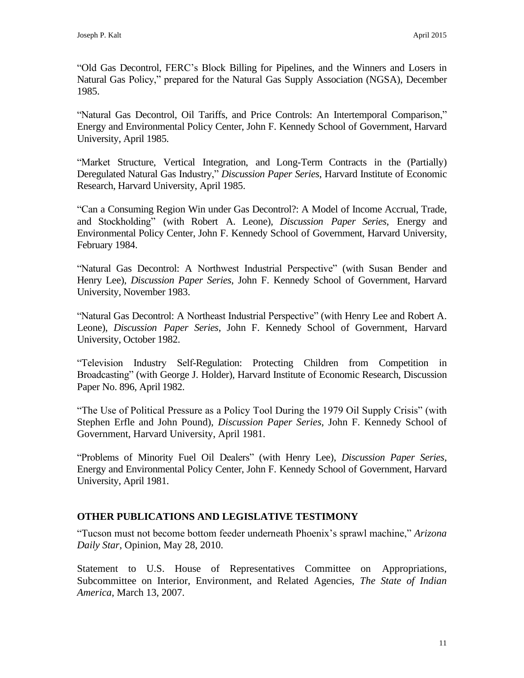"Old Gas Decontrol, FERC's Block Billing for Pipelines, and the Winners and Losers in Natural Gas Policy," prepared for the Natural Gas Supply Association (NGSA), December 1985.

"Natural Gas Decontrol, Oil Tariffs, and Price Controls: An Intertemporal Comparison," Energy and Environmental Policy Center, John F. Kennedy School of Government, Harvard University, April 1985.

"Market Structure, Vertical Integration, and Long-Term Contracts in the (Partially) Deregulated Natural Gas Industry," *Discussion Paper Series*, Harvard Institute of Economic Research, Harvard University, April 1985.

"Can a Consuming Region Win under Gas Decontrol?: A Model of Income Accrual, Trade, and Stockholding" (with Robert A. Leone), *Discussion Paper Series*, Energy and Environmental Policy Center, John F. Kennedy School of Government, Harvard University, February 1984.

"Natural Gas Decontrol: A Northwest Industrial Perspective" (with Susan Bender and Henry Lee), *Discussion Paper Series*, John F. Kennedy School of Government, Harvard University, November 1983.

"Natural Gas Decontrol: A Northeast Industrial Perspective" (with Henry Lee and Robert A. Leone), *Discussion Paper Series*, John F. Kennedy School of Government, Harvard University, October 1982.

"Television Industry Self-Regulation: Protecting Children from Competition in Broadcasting" (with George J. Holder), Harvard Institute of Economic Research, Discussion Paper No. 896, April 1982.

"The Use of Political Pressure as a Policy Tool During the 1979 Oil Supply Crisis" (with Stephen Erfle and John Pound), *Discussion Paper Series*, John F. Kennedy School of Government, Harvard University, April 1981.

"Problems of Minority Fuel Oil Dealers" (with Henry Lee), *Discussion Paper Series*, Energy and Environmental Policy Center, John F. Kennedy School of Government, Harvard University, April 1981.

# **OTHER PUBLICATIONS AND LEGISLATIVE TESTIMONY**

"Tucson must not become bottom feeder underneath Phoenix's sprawl machine," *Arizona Daily Star*, Opinion, May 28, 2010.

Statement to U.S. House of Representatives Committee on Appropriations, Subcommittee on Interior, Environment, and Related Agencies, *The State of Indian America*, March 13, 2007.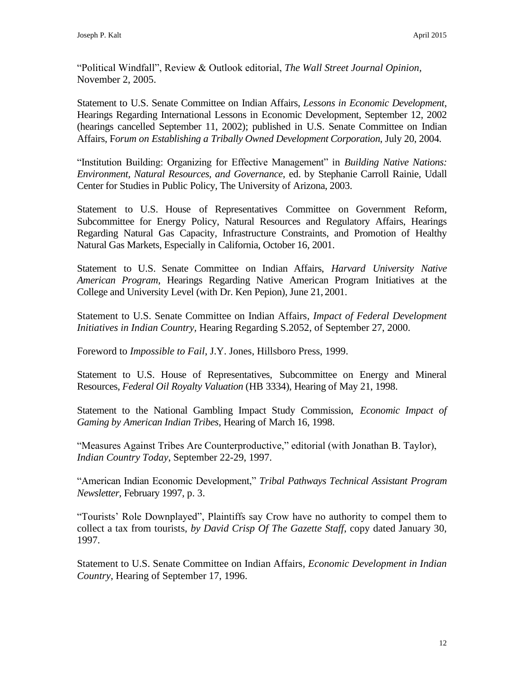"Political Windfall", Review & Outlook editorial, *The Wall Street Journal Opinion,* November 2, 2005.

Statement to U.S. Senate Committee on Indian Affairs, *Lessons in Economic Development*, Hearings Regarding International Lessons in Economic Development, September 12, 2002 (hearings cancelled September 11, 2002); published in U.S. Senate Committee on Indian Affairs, F*orum on Establishing a Tribally Owned Development Corporation*, July 20, 2004.

"Institution Building: Organizing for Effective Management" in *Building Native Nations: Environment, Natural Resources, and Governance*, ed. by Stephanie Carroll Rainie, Udall Center for Studies in Public Policy, The University of Arizona, 2003.

Statement to U.S. House of Representatives Committee on Government Reform, Subcommittee for Energy Policy, Natural Resources and Regulatory Affairs, Hearings Regarding Natural Gas Capacity, Infrastructure Constraints, and Promotion of Healthy Natural Gas Markets, Especially in California, October 16, 2001.

Statement to U.S. Senate Committee on Indian Affairs, *Harvard University Native American Program*, Hearings Regarding Native American Program Initiatives at the College and University Level (with Dr. Ken Pepion), June 21, 2001.

Statement to U.S. Senate Committee on Indian Affairs*, Impact of Federal Development Initiatives in Indian Country,* Hearing Regarding S.2052, of September 27, 2000.

Foreword to *Impossible to Fail*, J.Y. Jones, Hillsboro Press, 1999.

Statement to U.S. House of Representatives, Subcommittee on Energy and Mineral Resources, *Federal Oil Royalty Valuation* (HB 3334), Hearing of May 21, 1998.

Statement to the National Gambling Impact Study Commission, *Economic Impact of Gaming by American Indian Tribes*, Hearing of March 16, 1998.

"Measures Against Tribes Are Counterproductive," editorial (with Jonathan B. Taylor), *Indian Country Today*, September 22-29, 1997.

"American Indian Economic Development," *Tribal Pathways Technical Assistant Program Newsletter,* February 1997, p. 3.

"Tourists' Role Downplayed", Plaintiffs say Crow have no authority to compel them to collect a tax from tourists, *by David Crisp Of The Gazette Staff*, copy dated January 30, 1997.

Statement to U.S. Senate Committee on Indian Affairs*, Economic Development in Indian Country*, Hearing of September 17, 1996.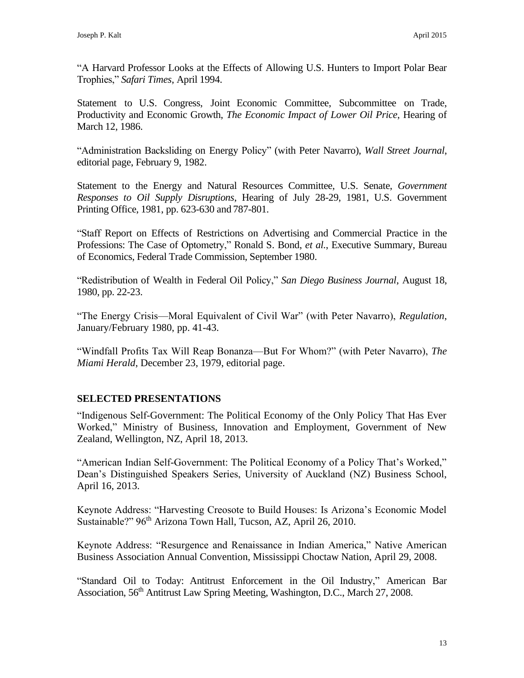"A Harvard Professor Looks at the Effects of Allowing U.S. Hunters to Import Polar Bear Trophies," *Safari Times*, April 1994.

Statement to U.S. Congress, Joint Economic Committee, Subcommittee on Trade, Productivity and Economic Growth, *The Economic Impact of Lower Oil Price*, Hearing of March 12, 1986.

"Administration Backsliding on Energy Policy" (with Peter Navarro), *Wall Street Journal*, editorial page, February 9, 1982.

Statement to the Energy and Natural Resources Committee, U.S. Senate, *Government Responses to Oil Supply Disruptions*, Hearing of July 28-29, 1981, U.S. Government Printing Office, 1981, pp. 623-630 and 787-801.

"Staff Report on Effects of Restrictions on Advertising and Commercial Practice in the Professions: The Case of Optometry," Ronald S. Bond, *et al.*, Executive Summary, Bureau of Economics, Federal Trade Commission, September 1980.

"Redistribution of Wealth in Federal Oil Policy," *San Diego Business Journal*, August 18, 1980, pp. 22-23.

"The Energy Crisis—Moral Equivalent of Civil War" (with Peter Navarro), *Regulation*, January/February 1980, pp. 41-43.

"Windfall Profits Tax Will Reap Bonanza—But For Whom?" (with Peter Navarro), *The Miami Herald*, December 23, 1979, editorial page.

# **SELECTED PRESENTATIONS**

"Indigenous Self-Government: The Political Economy of the Only Policy That Has Ever Worked," Ministry of Business, Innovation and Employment, Government of New Zealand, Wellington, NZ, April 18, 2013.

"American Indian Self-Government: The Political Economy of a Policy That's Worked," Dean's Distinguished Speakers Series, University of Auckland (NZ) Business School, April 16, 2013.

Keynote Address: "Harvesting Creosote to Build Houses: Is Arizona's Economic Model Sustainable?" 96<sup>th</sup> Arizona Town Hall, Tucson, AZ, April 26, 2010.

Keynote Address: "Resurgence and Renaissance in Indian America," Native American Business Association Annual Convention, Mississippi Choctaw Nation, April 29, 2008.

"Standard Oil to Today: Antitrust Enforcement in the Oil Industry," American Bar Association, 56<sup>th</sup> Antitrust Law Spring Meeting, Washington, D.C., March 27, 2008.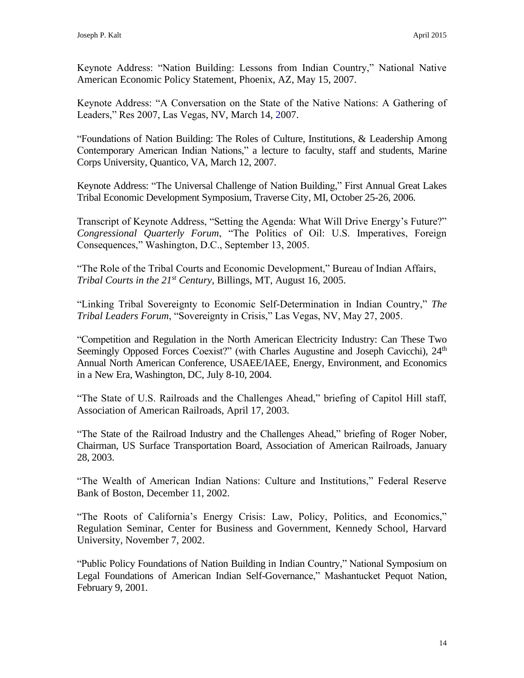Keynote Address: "Nation Building: Lessons from Indian Country," National Native American Economic Policy Statement, Phoenix, AZ, May 15, 2007.

Keynote Address: "A Conversation on the State of the Native Nations: A Gathering of Leaders," Res 2007, Las Vegas, NV, March 14, 2007.

"Foundations of Nation Building: The Roles of Culture, Institutions, & Leadership Among Contemporary American Indian Nations," a lecture to faculty, staff and students, Marine Corps University, Quantico, VA, March 12, 2007.

Keynote Address: "The Universal Challenge of Nation Building," First Annual Great Lakes Tribal Economic Development Symposium, Traverse City, MI, October 25-26, 2006.

Transcript of Keynote Address, "Setting the Agenda: What Will Drive Energy's Future?" *Congressional Quarterly Forum*, "The Politics of Oil: U.S. Imperatives, Foreign Consequences," Washington, D.C., September 13, 2005.

"The Role of the Tribal Courts and Economic Development," Bureau of Indian Affairs, *Tribal Courts in the 21st Century*, Billings, MT, August 16, 2005.

"Linking Tribal Sovereignty to Economic Self-Determination in Indian Country," *The Tribal Leaders Forum*, "Sovereignty in Crisis," Las Vegas, NV, May 27, 2005.

"Competition and Regulation in the North American Electricity Industry: Can These Two Seemingly Opposed Forces Coexist?" (with Charles Augustine and Joseph Cavicchi), 24<sup>th</sup> Annual North American Conference, USAEE/IAEE, Energy, Environment, and Economics in a New Era, Washington, DC, July 8-10, 2004.

"The State of U.S. Railroads and the Challenges Ahead," briefing of Capitol Hill staff, Association of American Railroads, April 17, 2003.

"The State of the Railroad Industry and the Challenges Ahead," briefing of Roger Nober, Chairman, US Surface Transportation Board, Association of American Railroads, January 28, 2003.

"The Wealth of American Indian Nations: Culture and Institutions," Federal Reserve Bank of Boston, December 11, 2002.

"The Roots of California's Energy Crisis: Law, Policy, Politics, and Economics," Regulation Seminar, Center for Business and Government, Kennedy School, Harvard University, November 7, 2002.

"Public Policy Foundations of Nation Building in Indian Country," National Symposium on Legal Foundations of American Indian Self-Governance," Mashantucket Pequot Nation, February 9, 2001.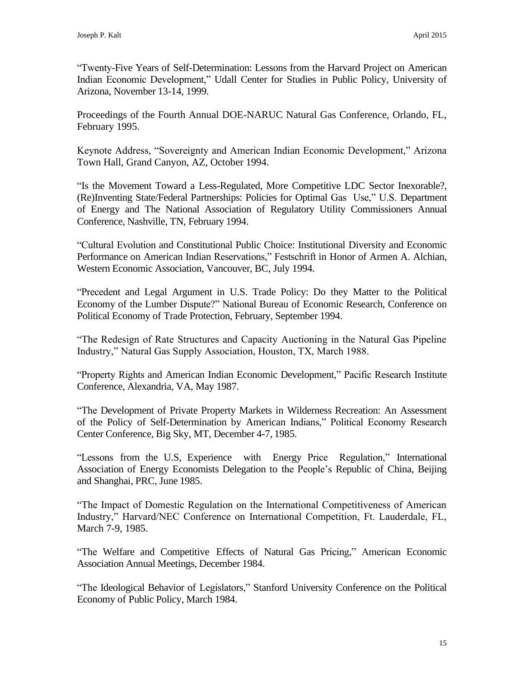"Twenty-Five Years of Self-Determination: Lessons from the Harvard Project on American Indian Economic Development," Udall Center for Studies in Public Policy, University of Arizona, November 13-14, 1999.

Proceedings of the Fourth Annual DOE-NARUC Natural Gas Conference, Orlando, FL, February 1995.

Keynote Address, "Sovereignty and American Indian Economic Development," Arizona Town Hall, Grand Canyon, AZ, October 1994.

"Is the Movement Toward a Less-Regulated, More Competitive LDC Sector Inexorable?, (Re)Inventing State/Federal Partnerships: Policies for Optimal Gas Use," U.S. Department of Energy and The National Association of Regulatory Utility Commissioners Annual Conference, Nashville, TN, February 1994.

"Cultural Evolution and Constitutional Public Choice: Institutional Diversity and Economic Performance on American Indian Reservations," Festschrift in Honor of Armen A. Alchian, Western Economic Association, Vancouver, BC, July 1994.

"Precedent and Legal Argument in U.S. Trade Policy: Do they Matter to the Political Economy of the Lumber Dispute?" National Bureau of Economic Research, Conference on Political Economy of Trade Protection, February, September 1994.

"The Redesign of Rate Structures and Capacity Auctioning in the Natural Gas Pipeline Industry," Natural Gas Supply Association, Houston, TX, March 1988.

"Property Rights and American Indian Economic Development," Pacific Research Institute Conference, Alexandria, VA, May 1987.

"The Development of Private Property Markets in Wilderness Recreation: An Assessment of the Policy of Self-Determination by American Indians," Political Economy Research Center Conference, Big Sky, MT, December 4-7, 1985.

"Lessons from the U.S, Experience with Energy Price Regulation," International Association of Energy Economists Delegation to the People's Republic of China, Beijing and Shanghai, PRC, June 1985.

"The Impact of Domestic Regulation on the International Competitiveness of American Industry," Harvard/NEC Conference on International Competition, Ft. Lauderdale, FL, March 7-9, 1985.

"The Welfare and Competitive Effects of Natural Gas Pricing," American Economic Association Annual Meetings, December 1984.

"The Ideological Behavior of Legislators," Stanford University Conference on the Political Economy of Public Policy, March 1984.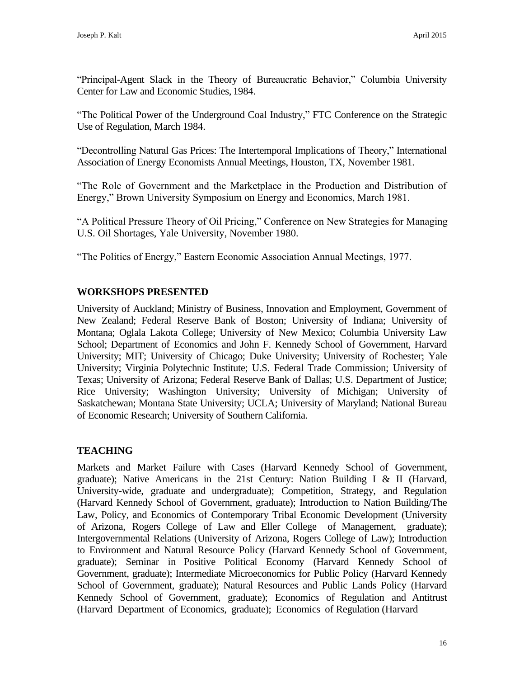"Principal-Agent Slack in the Theory of Bureaucratic Behavior," Columbia University Center for Law and Economic Studies, 1984.

"The Political Power of the Underground Coal Industry," FTC Conference on the Strategic Use of Regulation, March 1984.

"Decontrolling Natural Gas Prices: The Intertemporal Implications of Theory," International Association of Energy Economists Annual Meetings, Houston, TX, November 1981.

"The Role of Government and the Marketplace in the Production and Distribution of Energy," Brown University Symposium on Energy and Economics, March 1981.

"A Political Pressure Theory of Oil Pricing," Conference on New Strategies for Managing U.S. Oil Shortages, Yale University, November 1980.

"The Politics of Energy," Eastern Economic Association Annual Meetings, 1977.

# **WORKSHOPS PRESENTED**

University of Auckland; Ministry of Business, Innovation and Employment, Government of New Zealand; Federal Reserve Bank of Boston; University of Indiana; University of Montana; Oglala Lakota College; University of New Mexico; Columbia University Law School; Department of Economics and John F. Kennedy School of Government, Harvard University; MIT; University of Chicago; Duke University; University of Rochester; Yale University; Virginia Polytechnic Institute; U.S. Federal Trade Commission; University of Texas; University of Arizona; Federal Reserve Bank of Dallas; U.S. Department of Justice; Rice University; Washington University; University of Michigan; University of Saskatchewan; Montana State University; UCLA; University of Maryland; National Bureau of Economic Research; University of Southern California.

# **TEACHING**

Markets and Market Failure with Cases (Harvard Kennedy School of Government, graduate); Native Americans in the 21st Century: Nation Building I & II (Harvard, University-wide, graduate and undergraduate); Competition, Strategy, and Regulation (Harvard Kennedy School of Government, graduate); Introduction to Nation Building/The Law, Policy, and Economics of Contemporary Tribal Economic Development (University of Arizona, Rogers College of Law and Eller College of Management, graduate); Intergovernmental Relations (University of Arizona, Rogers College of Law); Introduction to Environment and Natural Resource Policy (Harvard Kennedy School of Government, graduate); Seminar in Positive Political Economy (Harvard Kennedy School of Government, graduate); Intermediate Microeconomics for Public Policy (Harvard Kennedy School of Government, graduate); Natural Resources and Public Lands Policy (Harvard Kennedy School of Government, graduate); Economics of Regulation and Antitrust (Harvard Department of Economics, graduate); Economics of Regulation (Harvard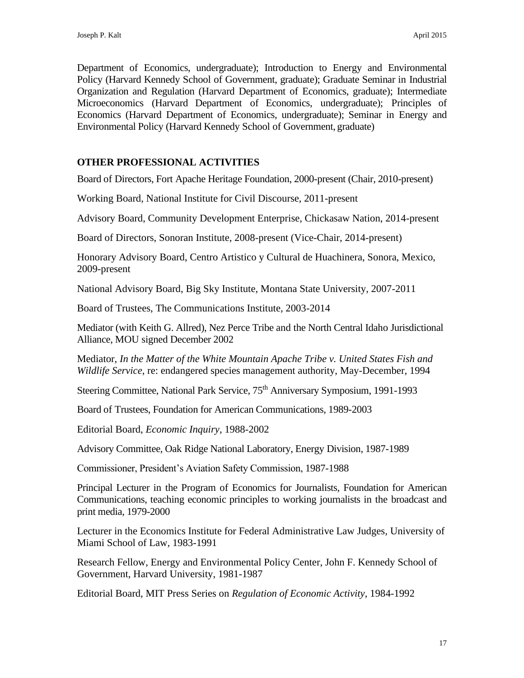Department of Economics, undergraduate); Introduction to Energy and Environmental Policy (Harvard Kennedy School of Government, graduate); Graduate Seminar in Industrial Organization and Regulation (Harvard Department of Economics, graduate); Intermediate Microeconomics (Harvard Department of Economics, undergraduate); Principles of Economics (Harvard Department of Economics, undergraduate); Seminar in Energy and Environmental Policy (Harvard Kennedy School of Government, graduate)

# **OTHER PROFESSIONAL ACTIVITIES**

Board of Directors, Fort Apache Heritage Foundation, 2000-present (Chair, 2010-present)

Working Board, National Institute for Civil Discourse, 2011-present

Advisory Board, Community Development Enterprise, Chickasaw Nation, 2014-present

Board of Directors, Sonoran Institute, 2008-present (Vice-Chair, 2014-present)

Honorary Advisory Board, Centro Artistico y Cultural de Huachinera, Sonora, Mexico, 2009-present

National Advisory Board, Big Sky Institute, Montana State University, 2007-2011

Board of Trustees, The Communications Institute, 2003-2014

Mediator (with Keith G. Allred), Nez Perce Tribe and the North Central Idaho Jurisdictional Alliance, MOU signed December 2002

Mediator, *In the Matter of the White Mountain Apache Tribe v. United States Fish and Wildlife Service*, re: endangered species management authority, May-December, 1994

Steering Committee, National Park Service, 75<sup>th</sup> Anniversary Symposium, 1991-1993

Board of Trustees, Foundation for American Communications, 1989-2003

Editorial Board, *Economic Inquiry*, 1988-2002

Advisory Committee, Oak Ridge National Laboratory, Energy Division, 1987-1989

Commissioner, President's Aviation Safety Commission, 1987-1988

Principal Lecturer in the Program of Economics for Journalists, Foundation for American Communications, teaching economic principles to working journalists in the broadcast and print media, 1979-2000

Lecturer in the Economics Institute for Federal Administrative Law Judges, University of Miami School of Law, 1983-1991

Research Fellow, Energy and Environmental Policy Center, John F. Kennedy School of Government, Harvard University, 1981-1987

Editorial Board, MIT Press Series on *Regulation of Economic Activity*, 1984-1992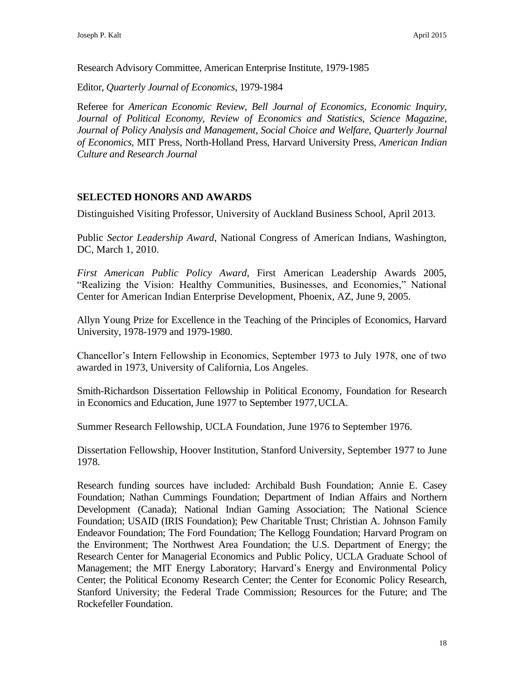Research Advisory Committee, American Enterprise Institute, 1979-1985

Editor, *Quarterly Journal of Economics*, 1979-1984

Referee for *American Economic Review, Bell Journal of Economics, Economic Inquiry,*  Journal of Political Economy, Review of Economics and Statistics, Science Magazine, *Journal of Policy Analysis and Management, Social Choice and Welfare, Quarterly Journal of Economics*, MIT Press, North-Holland Press, Harvard University Press, *American Indian Culture and Research Journal*

# **SELECTED HONORS AND AWARDS**

Distinguished Visiting Professor, University of Auckland Business School, April 2013.

Public *Sector Leadership Award*, National Congress of American Indians, Washington, DC, March 1, 2010.

*First American Public Policy Award*, First American Leadership Awards 2005, "Realizing the Vision: Healthy Communities, Businesses, and Economies," National Center for American Indian Enterprise Development, Phoenix, AZ, June 9, 2005.

Allyn Young Prize for Excellence in the Teaching of the Principles of Economics, Harvard University, 1978-1979 and 1979-1980.

Chancellor's Intern Fellowship in Economics, September 1973 to July 1978, one of two awarded in 1973, University of California, Los Angeles.

Smith-Richardson Dissertation Fellowship in Political Economy, Foundation for Research in Economics and Education, June 1977 to September 1977,UCLA.

Summer Research Fellowship, UCLA Foundation, June 1976 to September 1976.

Dissertation Fellowship, Hoover Institution, Stanford University, September 1977 to June 1978.

Research funding sources have included: Archibald Bush Foundation; Annie E. Casey Foundation; Nathan Cummings Foundation; Department of Indian Affairs and Northern Development (Canada); National Indian Gaming Association; The National Science Foundation; USAID (IRIS Foundation); Pew Charitable Trust; Christian A. Johnson Family Endeavor Foundation; The Ford Foundation; The Kellogg Foundation; Harvard Program on the Environment; The Northwest Area Foundation; the U.S. Department of Energy; the Research Center for Managerial Economics and Public Policy, UCLA Graduate School of Management; the MIT Energy Laboratory; Harvard's Energy and Environmental Policy Center; the Political Economy Research Center; the Center for Economic Policy Research, Stanford University; the Federal Trade Commission; Resources for the Future; and The Rockefeller Foundation.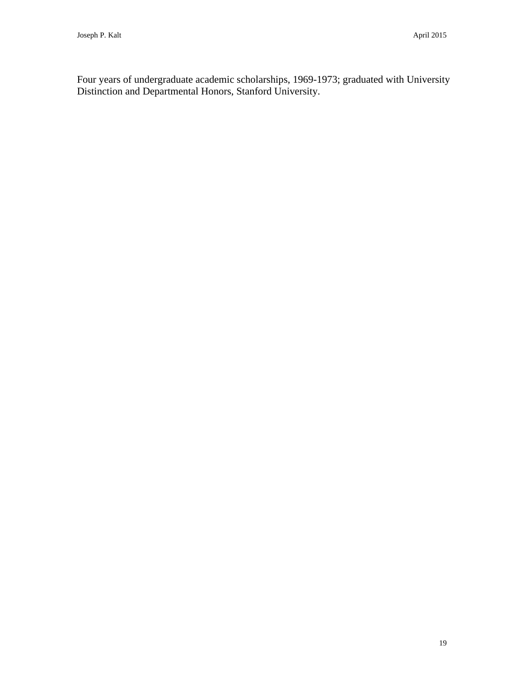Four years of undergraduate academic scholarships, 1969-1973; graduated with University Distinction and Departmental Honors, Stanford University.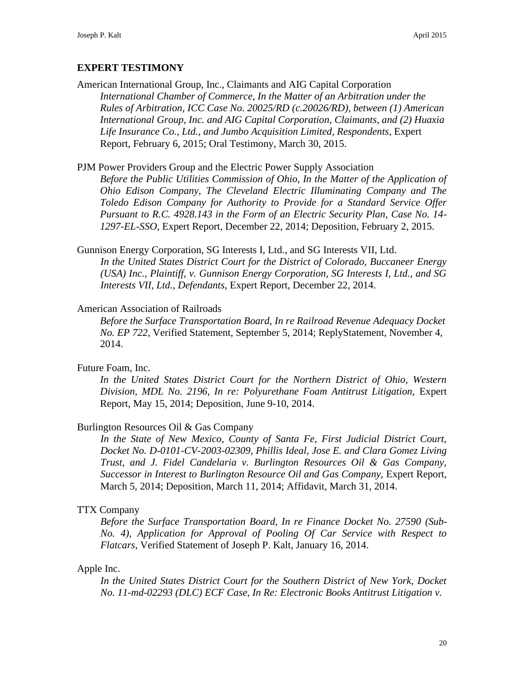# **EXPERT TESTIMONY**

American International Group, Inc., Claimants and AIG Capital Corporation *International Chamber of Commerce, In the Matter of an Arbitration under the Rules of Arbitration, ICC Case No. 20025/RD (c.20026/RD), between (1) American International Group, Inc. and AIG Capital Corporation, Claimants, and (2) Huaxia Life Insurance Co., Ltd., and Jumbo Acquisition Limited, Respondents*, Expert Report, February 6, 2015; Oral Testimony, March 30, 2015.

### PJM Power Providers Group and the Electric Power Supply Association

*Before the Public Utilities Commission of Ohio, In the Matter of the Application of Ohio Edison Company, The Cleveland Electric Illuminating Company and The Toledo Edison Company for Authority to Provide for a Standard Service Offer Pursuant to R.C. 4928.143 in the Form of an Electric Security Plan, Case No. 14- 1297-EL-SSO*, Expert Report, December 22, 2014; Deposition, February 2, 2015.

Gunnison Energy Corporation, SG Interests I, Ltd., and SG Interests VII, Ltd. *In the United States District Court for the District of Colorado, Buccaneer Energy (USA) Inc., Plaintiff, v. Gunnison Energy Corporation, SG Interests I, Ltd., and SG Interests VII, Ltd., Defendants,* Expert Report, December 22, 2014.

### American Association of Railroads

*Before the Surface Transportation Board, In re Railroad Revenue Adequacy Docket No. EP 722*, Verified Statement, September 5, 2014; ReplyStatement, November 4, 2014.

### Future Foam, Inc.

*In the United States District Court for the Northern District of Ohio, Western Division, MDL No. 2196, In re: Polyurethane Foam Antitrust Litigation,* Expert Report, May 15, 2014; Deposition, June 9-10, 2014.

### Burlington Resources Oil & Gas Company

*In the State of New Mexico, County of Santa Fe, First Judicial District Court, Docket No. D-0101-CV-2003-02309, Phillis Ideal, Jose E. and Clara Gomez Living Trust, and J. Fidel Candelaria v. Burlington Resources Oil & Gas Company,*  **Successor in Interest to Burlington Resource Oil and Gas Company, Expert Report,** March 5, 2014; Deposition, March 11, 2014; Affidavit, March 31, 2014.

### TTX Company

*Before the Surface Transportation Board, In re Finance Docket No. 27590 (Sub-No. 4), Application for Approval of Pooling Of Car Service with Respect to Flatcars,* Verified Statement of Joseph P. Kalt, January 16, 2014.

### Apple Inc.

*In the United States District Court for the Southern District of New York, Docket No. 11-md-02293 (DLC) ECF Case, In Re: Electronic Books Antitrust Litigation v.*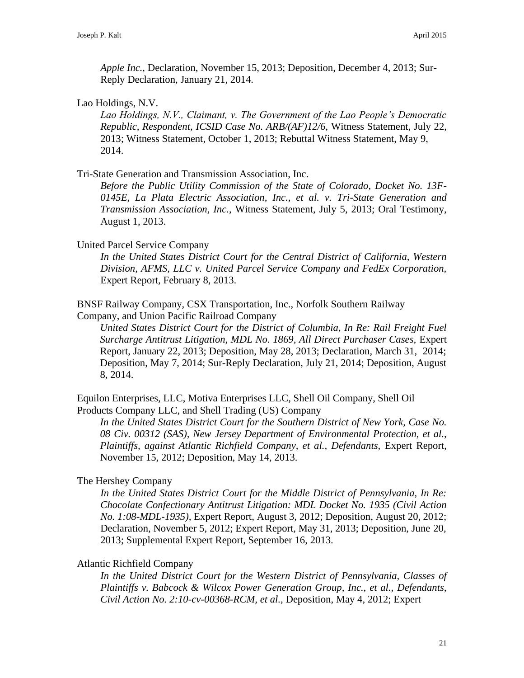*Apple Inc.,* Declaration, November 15, 2013; Deposition, December 4, 2013; Sur-Reply Declaration, January 21, 2014.

Lao Holdings, N.V.

*Lao Holdings, N.V., Claimant, v. The Government of the Lao People's Democratic Republic, Respondent, ICSID Case No. ARB/(AF)12/6,* Witness Statement, July 22, 2013; Witness Statement, October 1, 2013; Rebuttal Witness Statement, May 9, 2014.

Tri-State Generation and Transmission Association, Inc.

*Before the Public Utility Commission of the State of Colorado, Docket No. 13F-0145E, La Plata Electric Association, Inc., et al. v. Tri-State Generation and Transmission Association, Inc.*, Witness Statement, July 5, 2013; Oral Testimony, August 1, 2013.

United Parcel Service Company

*In the United States District Court for the Central District of California, Western Division, AFMS, LLC v. United Parcel Service Company and FedEx Corporation,*  Expert Report, February 8, 2013.

BNSF Railway Company, CSX Transportation, Inc., Norfolk Southern Railway Company, and Union Pacific Railroad Company

*United States District Court for the District of Columbia, In Re: Rail Freight Fuel Surcharge Antitrust Litigation, MDL No. 1869, All Direct Purchaser Cases,* Expert Report, January 22, 2013; Deposition, May 28, 2013; Declaration, March 31, 2014; Deposition, May 7, 2014; Sur-Reply Declaration, July 21, 2014; Deposition, August 8, 2014.

Equilon Enterprises, LLC, Motiva Enterprises LLC, Shell Oil Company, Shell Oil Products Company LLC, and Shell Trading (US) Company

*In the United States District Court for the Southern District of New York, Case No. 08 Civ. 00312 (SAS), New Jersey Department of Environmental Protection, et al., Plaintiffs, against Atlantic Richfield Company, et al., Defendants, Expert Report,* November 15, 2012; Deposition, May 14, 2013.

The Hershey Company

*In the United States District Court for the Middle District of Pennsylvania, In Re: Chocolate Confectionary Antitrust Litigation: MDL Docket No. 1935 (Civil Action No. 1:08-MDL-1935),* Expert Report, August 3, 2012; Deposition, August 20, 2012; Declaration, November 5, 2012; Expert Report, May 31, 2013; Deposition, June 20, 2013; Supplemental Expert Report, September 16, 2013.

Atlantic Richfield Company

*In the United District Court for the Western District of Pennsylvania, Classes of Plaintiffs v. Babcock & Wilcox Power Generation Group, Inc., et al., Defendants, Civil Action No. 2:10-cv-00368-RCM, et al.,* Deposition, May 4, 2012; Expert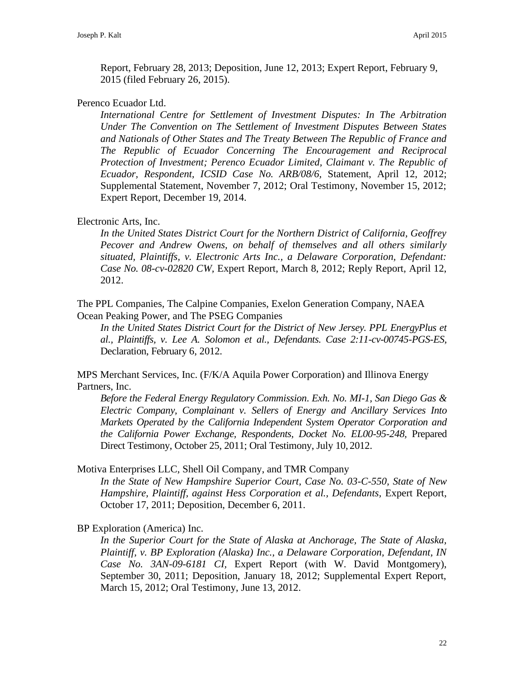Report, February 28, 2013; Deposition, June 12, 2013; Expert Report, February 9, 2015 (filed February 26, 2015).

### Perenco Ecuador Ltd.

*International Centre for Settlement of Investment Disputes: In The Arbitration Under The Convention on The Settlement of Investment Disputes Between States and Nationals of Other States and The Treaty Between The Republic of France and The Republic of Ecuador Concerning The Encouragement and Reciprocal Protection of Investment; Perenco Ecuador Limited, Claimant v. The Republic of Ecuador, Respondent, ICSID Case No. ARB/08/6,* Statement, April 12, 2012; Supplemental Statement, November 7, 2012; Oral Testimony, November 15, 2012; Expert Report, December 19, 2014.

### Electronic Arts, Inc.

*In the United States District Court for the Northern District of California, Geoffrey Pecover and Andrew Owens, on behalf of themselves and all others similarly situated, Plaintiffs, v. Electronic Arts Inc., a Delaware Corporation, Defendant: Case No. 08-cv-02820 CW,* Expert Report, March 8, 2012; Reply Report, April 12, 2012.

The PPL Companies, The Calpine Companies, Exelon Generation Company, NAEA Ocean Peaking Power, and The PSEG Companies

*In the United States District Court for the District of New Jersey. PPL EnergyPlus et al., Plaintiffs, v. Lee A. Solomon et al., Defendants. Case 2:11-cv-00745-PGS-ES,*  Declaration, February 6, 2012.

MPS Merchant Services, Inc. (F/K/A Aquila Power Corporation) and Illinova Energy Partners, Inc.

*Before the Federal Energy Regulatory Commission*. *Exh. No. MI-1, San Diego Gas & Electric Company, Complainant v. Sellers of Energy and Ancillary Services Into Markets Operated by the California Independent System Operator Corporation and the California Power Exchange, Respondents, Docket No. EL00-95-248,* Prepared Direct Testimony, October 25, 2011; Oral Testimony, July 10, 2012.

Motiva Enterprises LLC, Shell Oil Company, and TMR Company

*In the State of New Hampshire Superior Court, Case No. 03-C-550, State of New Hampshire, Plaintiff, against Hess Corporation et al., Defendants, Expert Report,* October 17, 2011; Deposition, December 6, 2011.

### BP Exploration (America) Inc.

*In the Superior Court for the State of Alaska at Anchorage, The State of Alaska, Plaintiff, v. BP Exploration (Alaska) Inc., a Delaware Corporation, Defendant, IN Case No. 3AN-09-6181 CI,* Expert Report (with W. David Montgomery), September 30, 2011; Deposition, January 18, 2012; Supplemental Expert Report, March 15, 2012; Oral Testimony, June 13, 2012.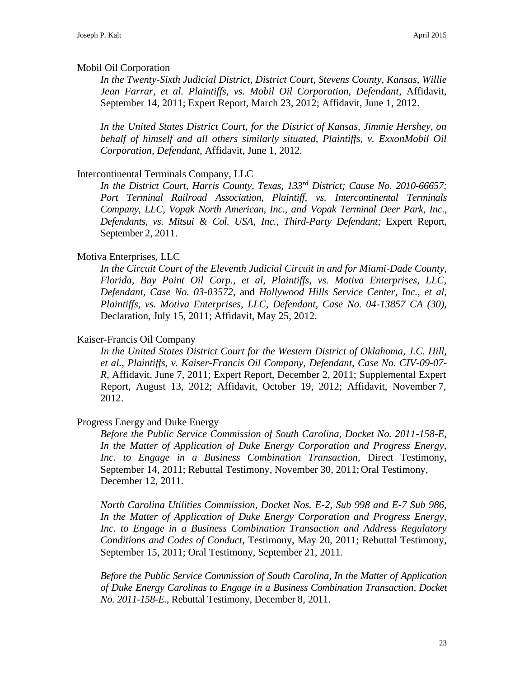### Mobil Oil Corporation

*In the Twenty-Sixth Judicial District, District Court, Stevens County, Kansas, Willie Jean Farrar, et al. Plaintiffs, vs. Mobil Oil Corporation, Defendant*, Affidavit, September 14, 2011; Expert Report, March 23, 2012; Affidavit, June 1, 2012.

*In the United States District Court, for the District of Kansas, Jimmie Hershey, on behalf of himself and all others similarly situated, Plaintiffs, v. ExxonMobil Oil Corporation, Defendant*, Affidavit, June 1, 2012.

### Intercontinental Terminals Company, LLC

*In the District Court, Harris County, Texas, 133rd District; Cause No. 2010-66657; Port Terminal Railroad Association, Plaintiff, vs. Intercontinental Terminals Company, LLC, Vopak North American, Inc., and Vopak Terminal Deer Park, Inc., Defendants, vs. Mitsui & Col. USA, Inc., Third-Party Defendant;* Expert Report, September 2, 2011.

### Motiva Enterprises, LLC

*In the Circuit Court of the Eleventh Judicial Circuit in and for Miami-Dade County, Florida, Bay Point Oil Corp., et al, Plaintiffs, vs. Motiva Enterprises, LLC, Defendant, Case No. 03-03572,* and *Hollywood Hills Service Center, Inc., et al, Plaintiffs, vs. Motiva Enterprises, LLC, Defendant, Case No. 04-13857 CA (30),*  Declaration, July 15, 2011; Affidavit, May 25, 2012.

### Kaiser-Francis Oil Company

*In the United States District Court for the Western District of Oklahoma, J.C. Hill, et al., Plaintiffs, v. Kaiser-Francis Oil Company, Defendant, Case No. CIV-09-07- R,* Affidavit, June 7, 2011; Expert Report, December 2, 2011; Supplemental Expert Report, August 13, 2012; Affidavit, October 19, 2012; Affidavit, November 7, 2012.

### Progress Energy and Duke Energy

*Before the Public Service Commission of South Carolina, Docket No. 2011-158-E, In the Matter of Application of Duke Energy Corporation and Progress Energy, Inc. to Engage in a Business Combination Transaction,* Direct Testimony, September 14, 2011; Rebuttal Testimony, November 30, 2011; Oral Testimony, December 12, 2011.

*North Carolina Utilities Commission, Docket Nos. E-2, Sub 998 and E-7 Sub 986, In the Matter of Application of Duke Energy Corporation and Progress Energy, Inc. to Engage in a Business Combination Transaction and Address Regulatory Conditions and Codes of Conduct*, Testimony, May 20, 2011; Rebuttal Testimony, September 15, 2011; Oral Testimony, September 21, 2011.

*Before the Public Service Commission of South Carolina, In the Matter of Application of Duke Energy Carolinas to Engage in a Business Combination Transaction, Docket No. 2011-158-E.,* Rebuttal Testimony, December 8, 2011.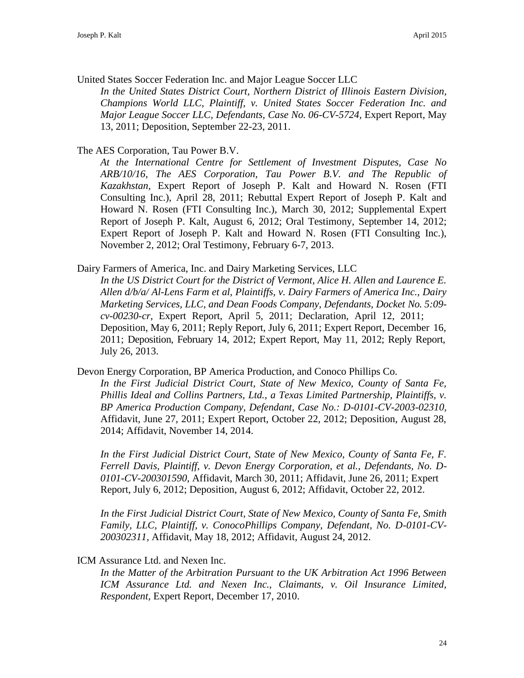United States Soccer Federation Inc. and Major League Soccer LLC

*In the United States District Court, Northern District of Illinois Eastern Division, Champions World LLC, Plaintiff, v. United States Soccer Federation Inc. and Major League Soccer LLC, Defendants, Case No. 06-CV-5724, Expert Report, May* 13, 2011; Deposition, September 22-23, 2011.

# The AES Corporation, Tau Power B.V.

*At the International Centre for Settlement of Investment Disputes, Case No ARB/10/16, The AES Corporation, Tau Power B.V. and The Republic of Kazakhstan,* Expert Report of Joseph P. Kalt and Howard N. Rosen (FTI Consulting Inc.), April 28, 2011; Rebuttal Expert Report of Joseph P. Kalt and Howard N. Rosen (FTI Consulting Inc.), March 30, 2012; Supplemental Expert Report of Joseph P. Kalt, August 6, 2012; Oral Testimony, September 14, 2012; Expert Report of Joseph P. Kalt and Howard N. Rosen (FTI Consulting Inc.), November 2, 2012; Oral Testimony, February 6-7, 2013.

Dairy Farmers of America, Inc. and Dairy Marketing Services, LLC

*In the US District Court for the District of Vermont, Alice H. Allen and Laurence E. Allen d/b/a/ Al-Lens Farm et al, Plaintiffs, v. Dairy Farmers of America Inc., Dairy Marketing Services, LLC, and Dean Foods Company, Defendants, Docket No. 5:09 cv-00230-cr,* Expert Report, April 5, 2011; Declaration, April 12, 2011; Deposition, May 6, 2011; Reply Report, July 6, 2011; Expert Report, December 16, 2011; Deposition, February 14, 2012; Expert Report, May 11, 2012; Reply Report, July 26, 2013.

Devon Energy Corporation, BP America Production, and Conoco Phillips Co.

*In the First Judicial District Court, State of New Mexico, County of Santa Fe, Phillis Ideal and Collins Partners, Ltd., a Texas Limited Partnership, Plaintiffs, v. BP America Production Company, Defendant, Case No.: D-0101-CV-2003-02310,*  Affidavit, June 27, 2011; Expert Report, October 22, 2012; Deposition, August 28, 2014; Affidavit, November 14, 2014.

*In the First Judicial District Court, State of New Mexico, County of Santa Fe, F. Ferrell Davis, Plaintiff, v. Devon Energy Corporation, et al., Defendants, No. D-0101-CV-200301590,* Affidavit, March 30, 2011; Affidavit, June 26, 2011; Expert Report, July 6, 2012; Deposition, August 6, 2012; Affidavit, October 22, 2012.

*In the First Judicial District Court, State of New Mexico, County of Santa Fe, Smith Family, LLC, Plaintiff, v. ConocoPhillips Company, Defendant, No. D-0101-CV-200302311,* Affidavit, May 18, 2012; Affidavit, August 24, 2012.

# ICM Assurance Ltd. and Nexen Inc.

*In the Matter of the Arbitration Pursuant to the UK Arbitration Act 1996 Between ICM Assurance Ltd. and Nexen Inc., Claimants, v. Oil Insurance Limited, Respondent,* Expert Report, December 17, 2010.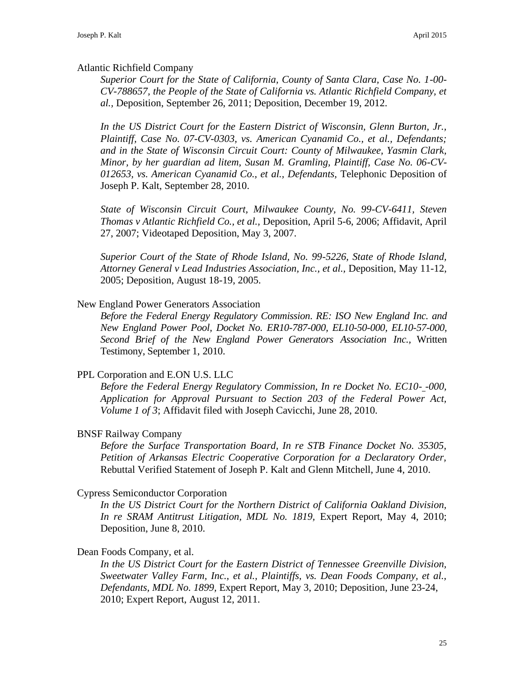### Atlantic Richfield Company

*Superior Court for the State of California, County of Santa Clara, Case No. 1-00- CV-788657, the People of the State of California vs. Atlantic Richfield Company, et al.,* Deposition, September 26, 2011; Deposition, December 19, 2012.

*In the US District Court for the Eastern District of Wisconsin, Glenn Burton, Jr., Plaintiff, Case No. 07-CV-0303, vs. American Cyanamid Co., et al., Defendants; and in the State of Wisconsin Circuit Court: County of Milwaukee, Yasmin Clark, Minor, by her guardian ad litem, Susan M. Gramling, Plaintiff, Case No. 06-CV-012653, vs. American Cyanamid Co., et al., Defendants,* Telephonic Deposition of Joseph P. Kalt, September 28, 2010.

*State of Wisconsin Circuit Court, Milwaukee County, No. 99-CV-6411, Steven Thomas v Atlantic Richfield Co., et al.,* Deposition, April 5-6, 2006; Affidavit, April 27, 2007; Videotaped Deposition, May 3, 2007.

*Superior Court of the State of Rhode Island, No. 99-5226, State of Rhode Island, Attorney General v Lead Industries Association, Inc., et al.,* Deposition, May 11-12, 2005; Deposition, August 18-19, 2005.

### New England Power Generators Association

*Before the Federal Energy Regulatory Commission*. *RE: ISO New England Inc. and New England Power Pool, Docket No. ER10-787-000, EL10-50-000, EL10-57-000, Second Brief of the New England Power Generators Association Inc.,* Written Testimony, September 1, 2010.

### PPL Corporation and E.ON U.S. LLC

*Before the Federal Energy Regulatory Commission, In re Docket No. EC10- -000, Application for Approval Pursuant to Section 203 of the Federal Power Act, Volume 1 of 3*; Affidavit filed with Joseph Cavicchi, June 28, 2010.

### BNSF Railway Company

*Before the Surface Transportation Board, In re STB Finance Docket No. 35305, Petition of Arkansas Electric Cooperative Corporation for a Declaratory Order,*  Rebuttal Verified Statement of Joseph P. Kalt and Glenn Mitchell, June 4, 2010.

### Cypress Semiconductor Corporation

*In the US District Court for the Northern District of California Oakland Division, In re SRAM Antitrust Litigation, MDL No. 1819,* Expert Report, May 4, 2010; Deposition, June 8, 2010.

### Dean Foods Company, et al.

*In the US District Court for the Eastern District of Tennessee Greenville Division, Sweetwater Valley Farm, Inc., et al., Plaintiffs, vs. Dean Foods Company, et al., Defendants, MDL No. 1899,* Expert Report, May 3, 2010; Deposition, June 23-24, 2010; Expert Report, August 12, 2011.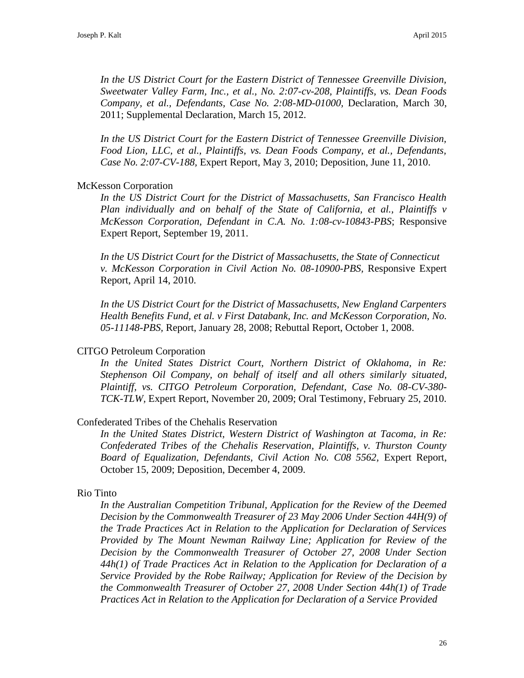*In the US District Court for the Eastern District of Tennessee Greenville Division, Sweetwater Valley Farm, Inc., et al., No. 2:07-cv-208, Plaintiffs, vs. Dean Foods Company, et al., Defendants, Case No. 2:08-MD-01000,* Declaration, March 30, 2011; Supplemental Declaration, March 15, 2012.

*In the US District Court for the Eastern District of Tennessee Greenville Division, Food Lion, LLC, et al., Plaintiffs, vs. Dean Foods Company, et al., Defendants, Case No. 2:07-CV-188,* Expert Report, May 3, 2010; Deposition, June 11, 2010.

### McKesson Corporation

*In the US District Court for the District of Massachusetts, San Francisco Health Plan individually and on behalf of the State of California, et al., Plaintiffs v McKesson Corporation, Defendant in C.A. No. 1:08-cv-10843-PBS*; Responsive Expert Report, September 19, 2011.

*In the US District Court for the District of Massachusetts, the State of Connecticut v. McKesson Corporation in Civil Action No. 08-10900-PBS,* Responsive Expert Report, April 14, 2010.

*In the US District Court for the District of Massachusetts, New England Carpenters Health Benefits Fund, et al. v First Databank, Inc. and McKesson Corporation, No. 05-11148-PBS,* Report, January 28, 2008; Rebuttal Report, October 1, 2008.

### CITGO Petroleum Corporation

*In the United States District Court, Northern District of Oklahoma, in Re: Stephenson Oil Company, on behalf of itself and all others similarly situated, Plaintiff, vs. CITGO Petroleum Corporation, Defendant, Case No. 08-CV-380- TCK-TLW,* Expert Report, November 20, 2009; Oral Testimony, February 25, 2010.

### Confederated Tribes of the Chehalis Reservation

*In the United States District, Western District of Washington at Tacoma, in Re: Confederated Tribes of the Chehalis Reservation, Plaintiffs, v. Thurston County Board of Equalization, Defendants, Civil Action No. C08 5562,* Expert Report, October 15, 2009; Deposition, December 4, 2009.

### Rio Tinto

*In the Australian Competition Tribunal, Application for the Review of the Deemed Decision by the Commonwealth Treasurer of 23 May 2006 Under Section 44H(9) of the Trade Practices Act in Relation to the Application for Declaration of Services Provided by The Mount Newman Railway Line; Application for Review of the Decision by the Commonwealth Treasurer of October 27, 2008 Under Section 44h(1) of Trade Practices Act in Relation to the Application for Declaration of a Service Provided by the Robe Railway; Application for Review of the Decision by the Commonwealth Treasurer of October 27, 2008 Under Section 44h(1) of Trade Practices Act in Relation to the Application for Declaration of a Service Provided*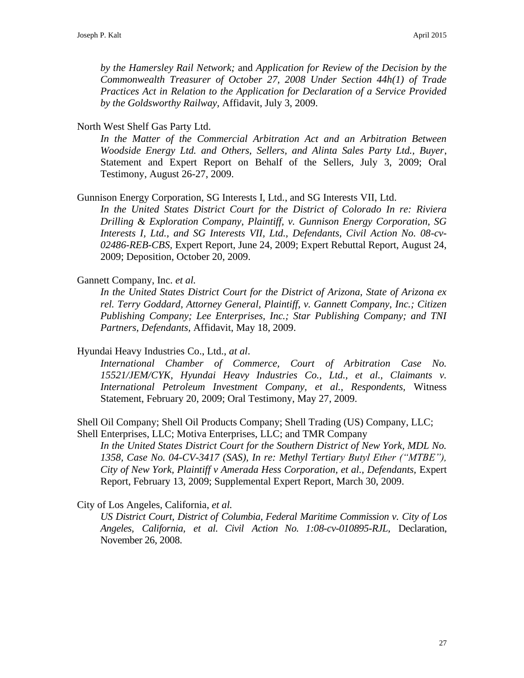*by the Hamersley Rail Network;* and *Application for Review of the Decision by the Commonwealth Treasurer of October 27, 2008 Under Section 44h(1) of Trade Practices Act in Relation to the Application for Declaration of a Service Provided by the Goldsworthy Railway,* Affidavit, July 3, 2009.

North West Shelf Gas Party Ltd.

*In the Matter of the Commercial Arbitration Act and an Arbitration Between Woodside Energy Ltd. and Others, Sellers, and Alinta Sales Party Ltd., Buyer*, Statement and Expert Report on Behalf of the Sellers, July 3, 2009; Oral Testimony, August 26-27, 2009.

Gunnison Energy Corporation, SG Interests I, Ltd., and SG Interests VII, Ltd.

*In the United States District Court for the District of Colorado In re: Riviera Drilling & Exploration Company, Plaintiff, v. Gunnison Energy Corporation, SG Interests I, Ltd., and SG Interests VII, Ltd., Defendants, Civil Action No. 08-cv-02486-REB-CBS,* Expert Report, June 24, 2009; Expert Rebuttal Report, August 24, 2009; Deposition, October 20, 2009.

Gannett Company, Inc. *et al.*

*In the United States District Court for the District of Arizona, State of Arizona ex rel. Terry Goddard, Attorney General, Plaintiff, v. Gannett Company, Inc.; Citizen Publishing Company; Lee Enterprises, Inc.; Star Publishing Company; and TNI Partners, Defendants,* Affidavit, May 18, 2009.

Hyundai Heavy Industries Co., Ltd., *at al*.

*International Chamber of Commerce, Court of Arbitration Case No. 15521/JEM/CYK, Hyundai Heavy Industries Co., Ltd., et al., Claimants v. International Petroleum Investment Company, et al., Respondents,* Witness Statement, February 20, 2009; Oral Testimony, May 27, 2009.

Shell Oil Company; Shell Oil Products Company; Shell Trading (US) Company, LLC; Shell Enterprises, LLC; Motiva Enterprises, LLC; and TMR Company

*In the United States District Court for the Southern District of New York, MDL No. 1358, Case No. 04-CV-3417 (SAS), In re: Methyl Tertiary Butyl Ether ("MTBE"), City of New York, Plaintiff v Amerada Hess Corporation, et al., Defendants,* Expert Report, February 13, 2009; Supplemental Expert Report, March 30, 2009.

City of Los Angeles, California, *et al.*

*US District Court, District of Columbia, Federal Maritime Commission v. City of Los Angeles, California, et al. Civil Action No. 1:08-cv-010895-RJL,* Declaration, November 26, 2008.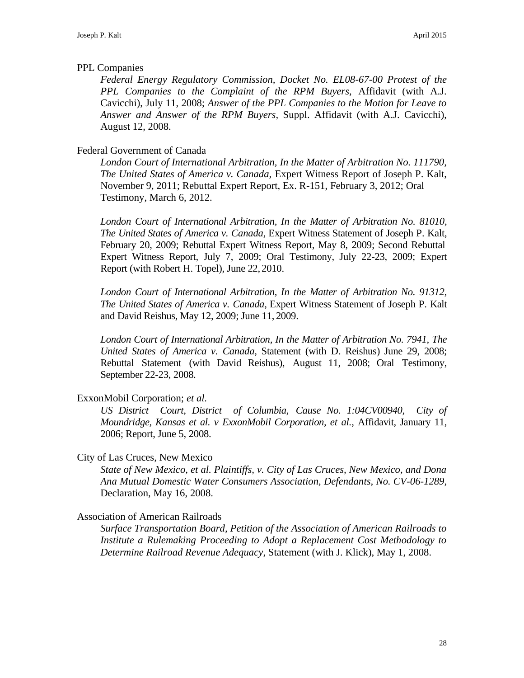### PPL Companies

*Federal Energy Regulatory Commission, Docket No. EL08-67-00 Protest of the PPL Companies to the Complaint of the RPM Buyers,* Affidavit (with A.J. Cavicchi), July 11, 2008; *Answer of the PPL Companies to the Motion for Leave to Answer and Answer of the RPM Buyers,* Suppl. Affidavit (with A.J. Cavicchi), August 12, 2008.

### Federal Government of Canada

*London Court of International Arbitration, In the Matter of Arbitration No. 111790, The United States of America v. Canada,* Expert Witness Report of Joseph P. Kalt, November 9, 2011; Rebuttal Expert Report, Ex. R-151, February 3, 2012; Oral Testimony, March 6, 2012.

*London Court of International Arbitration, In the Matter of Arbitration No. 81010, The United States of America v. Canada,* Expert Witness Statement of Joseph P. Kalt, February 20, 2009; Rebuttal Expert Witness Report, May 8, 2009; Second Rebuttal Expert Witness Report, July 7, 2009; Oral Testimony, July 22-23, 2009; Expert Report (with Robert H. Topel), June 22, 2010.

*London Court of International Arbitration, In the Matter of Arbitration No. 91312, The United States of America v. Canada,* Expert Witness Statement of Joseph P. Kalt and David Reishus, May 12, 2009; June 11, 2009.

*London Court of International Arbitration, In the Matter of Arbitration No. 7941, The United States of America v. Canada,* Statement (with D. Reishus) June 29, 2008; Rebuttal Statement (with David Reishus), August 11, 2008; Oral Testimony, September 22-23, 2008.

ExxonMobil Corporation; *et al.*

*US District Court, District of Columbia, Cause No. 1:04CV00940, City of Moundridge, Kansas et al. v ExxonMobil Corporation, et al.*, Affidavit, January 11, 2006; Report, June 5, 2008.

City of Las Cruces, New Mexico

*State of New Mexico, et al. Plaintiffs, v. City of Las Cruces, New Mexico, and Dona Ana Mutual Domestic Water Consumers Association, Defendants, No. CV-06-1289,*  Declaration, May 16, 2008.

Association of American Railroads

*Surface Transportation Board, Petition of the Association of American Railroads to Institute a Rulemaking Proceeding to Adopt a Replacement Cost Methodology to Determine Railroad Revenue Adequacy*, Statement (with J. Klick), May 1, 2008.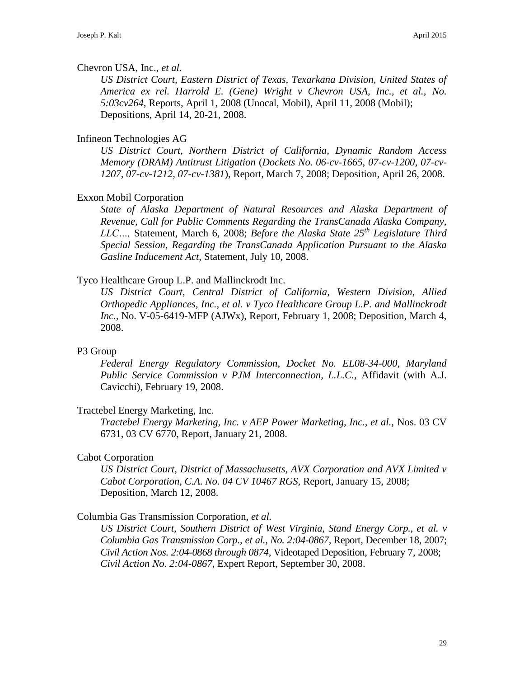### Chevron USA, Inc., *et al.*

*US District Court, Eastern District of Texas, Texarkana Division, United States of America ex rel. Harrold E. (Gene) Wright v Chevron USA, Inc., et al., No. 5:03cv264,* Reports, April 1, 2008 (Unocal, Mobil), April 11, 2008 (Mobil); Depositions, April 14, 20-21, 2008.

## Infineon Technologies AG

*US District Court, Northern District of California, Dynamic Random Access Memory (DRAM) Antitrust Litigation* (*Dockets No. 06-cv-1665, 07-cv-1200, 07-cv-1207, 07-cv-1212, 07-cv-1381*), Report, March 7, 2008; Deposition, April 26, 2008.

# Exxon Mobil Corporation

*State of Alaska Department of Natural Resources and Alaska Department of Revenue, Call for Public Comments Regarding the TransCanada Alaska Company, LLC…,* Statement, March 6, 2008; *Before the Alaska State 25th Legislature Third Special Session, Regarding the TransCanada Application Pursuant to the Alaska Gasline Inducement Act,* Statement, July 10, 2008.

# Tyco Healthcare Group L.P. and Mallinckrodt Inc.

*US District Court, Central District of California, Western Division, Allied Orthopedic Appliances, Inc., et al. v Tyco Healthcare Group L.P. and Mallinckrodt Inc.,* No. V-05-6419-MFP (AJWx), Report, February 1, 2008; Deposition, March 4, 2008.

### P3 Group

*Federal Energy Regulatory Commission, Docket No. EL08-34-000, Maryland Public Service Commission v PJM Interconnection, L.L.C.,* Affidavit (with A.J. Cavicchi), February 19, 2008.

### Tractebel Energy Marketing, Inc.

*Tractebel Energy Marketing, Inc. v AEP Power Marketing, Inc., et al.,* Nos. 03 CV 6731, 03 CV 6770, Report, January 21, 2008.

### Cabot Corporation

*US District Court, District of Massachusetts, AVX Corporation and AVX Limited v Cabot Corporation, C.A. No. 04 CV 10467 RGS,* Report, January 15, 2008; Deposition, March 12, 2008.

### Columbia Gas Transmission Corporation, *et al.*

*US District Court, Southern District of West Virginia, Stand Energy Corp., et al. v Columbia Gas Transmission Corp., et al., No. 2:04-0867,* Report, December 18, 2007; *Civil Action Nos. 2:04-0868 through 0874*, Videotaped Deposition, February 7, 2008; *Civil Action No. 2:04-0867*, Expert Report, September 30, 2008.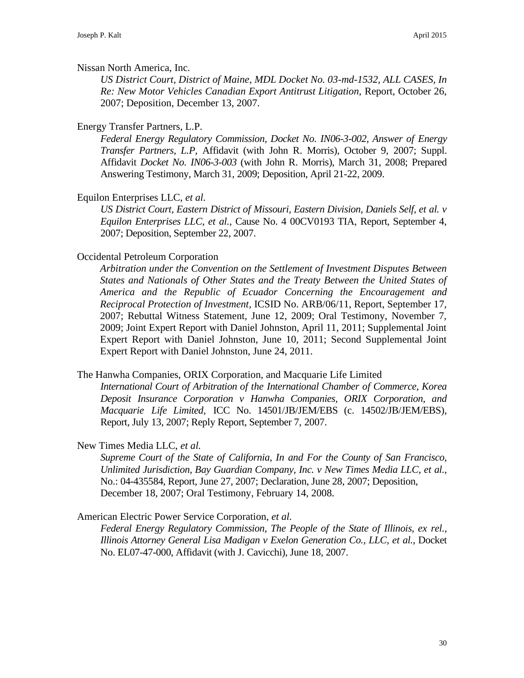### Nissan North America, Inc.

*US District Court, District of Maine, MDL Docket No. 03-md-1532, ALL CASES, In Re: New Motor Vehicles Canadian Export Antitrust Litigation,* Report, October 26, 2007; Deposition, December 13, 2007.

## Energy Transfer Partners, L.P.

*Federal Energy Regulatory Commission, Docket No. IN06-3-002, Answer of Energy Transfer Partners, L.P,* Affidavit (with John R. Morris), October 9, 2007; Suppl. Affidavit *Docket No. IN06-3-003* (with John R. Morris), March 31, 2008; Prepared Answering Testimony, March 31, 2009; Deposition, April 21-22, 2009.

# Equilon Enterprises LLC, *et al.*

*US District Court, Eastern District of Missouri, Eastern Division, Daniels Self, et al. v Equilon Enterprises LLC, et al.,* Cause No. 4 00CV0193 TIA, Report, September 4, 2007; Deposition, September 22, 2007.

# Occidental Petroleum Corporation

*Arbitration under the Convention on the Settlement of Investment Disputes Between States and Nationals of Other States and the Treaty Between the United States of America and the Republic of Ecuador Concerning the Encouragement and Reciprocal Protection of Investment*, ICSID No. ARB/06/11, Report, September 17, 2007; Rebuttal Witness Statement, June 12, 2009; Oral Testimony, November 7, 2009; Joint Expert Report with Daniel Johnston, April 11, 2011; Supplemental Joint Expert Report with Daniel Johnston, June 10, 2011; Second Supplemental Joint Expert Report with Daniel Johnston, June 24, 2011.

### The Hanwha Companies, ORIX Corporation, and Macquarie Life Limited

*International Court of Arbitration of the International Chamber of Commerce, Korea Deposit Insurance Corporation v Hanwha Companies, ORIX Corporation, and Macquarie Life Limited,* ICC No. 14501/JB/JEM/EBS (c. 14502/JB/JEM/EBS), Report, July 13, 2007; Reply Report, September 7, 2007.

New Times Media LLC, *et al.*

*Supreme Court of the State of California, In and For the County of San Francisco, Unlimited Jurisdiction, Bay Guardian Company, Inc. v New Times Media LLC, et al.,*  No.: 04-435584, Report, June 27, 2007; Declaration, June 28, 2007; Deposition, December 18, 2007; Oral Testimony, February 14, 2008.

American Electric Power Service Corporation, *et al.*

*Federal Energy Regulatory Commission, The People of the State of Illinois, ex rel., Illinois Attorney General Lisa Madigan v Exelon Generation Co., LLC, et al.,* Docket No. EL07-47-000, Affidavit (with J. Cavicchi), June 18, 2007.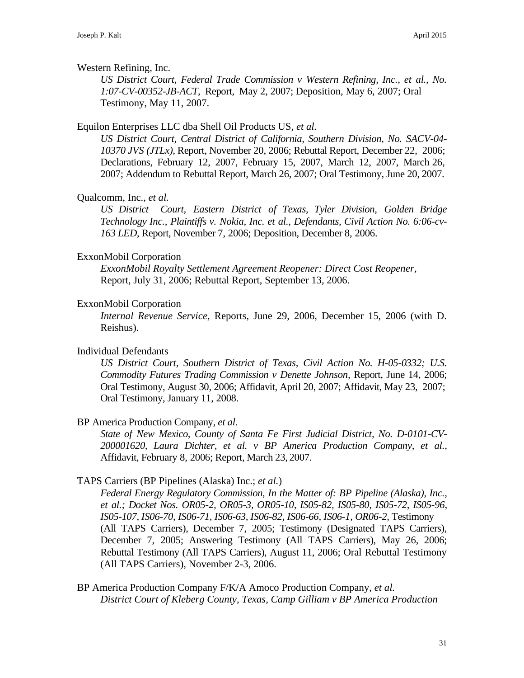### Western Refining, Inc.

*US District Court, Federal Trade Commission v Western Refining, Inc., et al., No. 1:07-CV-00352-JB-ACT,* Report, May 2, 2007; Deposition, May 6, 2007; Oral Testimony, May 11, 2007.

### Equilon Enterprises LLC dba Shell Oil Products US, *et al.*

*US District Court, Central District of California, Southern Division, No. SACV-04- 10370 JVS (JTLx),* Report, November 20, 2006; Rebuttal Report, December 22, 2006; Declarations, February 12, 2007, February 15, 2007, March 12, 2007, March 26, 2007; Addendum to Rebuttal Report, March 26, 2007; Oral Testimony, June 20, 2007.

### Qualcomm, Inc., *et al.*

*US District Court, Eastern District of Texas, Tyler Division, Golden Bridge Technology Inc., Plaintiffs v. Nokia, Inc. et al., Defendants, Civil Action No. 6:06-cv-163 LED*, Report, November 7, 2006; Deposition, December 8, 2006.

### ExxonMobil Corporation

*ExxonMobil Royalty Settlement Agreement Reopener: Direct Cost Reopener,* Report, July 31, 2006; Rebuttal Report, September 13, 2006.

### ExxonMobil Corporation

*Internal Revenue Service,* Reports, June 29, 2006, December 15, 2006 (with D. Reishus).

### Individual Defendants

*US District Court, Southern District of Texas, Civil Action No. H-05-0332; U.S. Commodity Futures Trading Commission v Denette Johnson,* Report, June 14, 2006; Oral Testimony, August 30, 2006; Affidavit, April 20, 2007; Affidavit, May 23, 2007; Oral Testimony, January 11, 2008.

### BP America Production Company*, et al.*

*State of New Mexico, County of Santa Fe First Judicial District, No. D-0101-CV-200001620, Laura Dichter, et al. v BP America Production Company, et al.,*  Affidavit, February 8, 2006; Report, March 23, 2007.

### TAPS Carriers (BP Pipelines (Alaska) Inc.; *et al.*)

*Federal Energy Regulatory Commission, In the Matter of: BP Pipeline (Alaska), Inc., et al.; Docket Nos. OR05-2, OR05-3, OR05-10, IS05-82, IS05-80, IS05-72, IS05-96, IS05-107, IS06-70, IS06-71, IS06-63, IS06-82, IS06-66, IS06-1, OR06-2,* Testimony (All TAPS Carriers), December 7, 2005; Testimony (Designated TAPS Carriers), December 7, 2005; Answering Testimony (All TAPS Carriers), May 26, 2006; Rebuttal Testimony (All TAPS Carriers), August 11, 2006; Oral Rebuttal Testimony (All TAPS Carriers), November 2-3, 2006.

BP America Production Company F/K/A Amoco Production Company, *et al. District Court of Kleberg County, Texas, Camp Gilliam v BP America Production*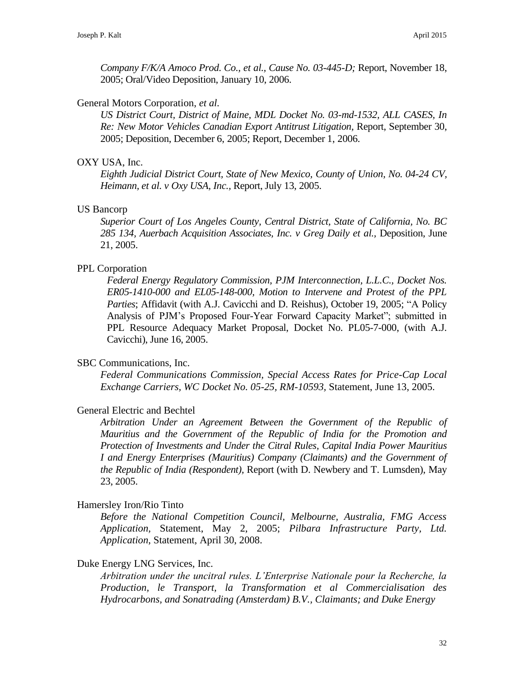*Company F/K/A Amoco Prod. Co., et al., Cause No. 03-445-D;* Report, November 18, 2005; Oral/Video Deposition, January 10, 2006.

#### General Motors Corporation, *et al.*

*US District Court, District of Maine, MDL Docket No. 03-md-1532, ALL CASES, In Re: New Motor Vehicles Canadian Export Antitrust Litigation,* Report, September 30, 2005; Deposition, December 6, 2005; Report, December 1, 2006.

#### OXY USA, Inc.

*Eighth Judicial District Court, State of New Mexico, County of Union, No. 04-24 CV, Heimann, et al. v Oxy USA, Inc.,* Report, July 13, 2005.

### US Bancorp

*Superior Court of Los Angeles County, Central District, State of California, No. BC 285 134, Auerbach Acquisition Associates, Inc. v Greg Daily et al.,* Deposition, June 21, 2005.

### PPL Corporation

*Federal Energy Regulatory Commission, PJM Interconnection, L.L.C., Docket Nos. ER05-1410-000 and EL05-148-000, Motion to Intervene and Protest of the PPL Parties*; Affidavit (with A.J. Cavicchi and D. Reishus), October 19, 2005; "A Policy Analysis of PJM's Proposed Four-Year Forward Capacity Market"; submitted in PPL Resource Adequacy Market Proposal, Docket No. PL05-7-000, (with A.J. Cavicchi), June 16, 2005.

#### SBC Communications, Inc.

*Federal Communications Commission, Special Access Rates for Price-Cap Local Exchange Carriers, WC Docket No. 05-25, RM-10593,* Statement, June 13, 2005.

#### General Electric and Bechtel

*Arbitration Under an Agreement Between the Government of the Republic of Mauritius and the Government of the Republic of India for the Promotion and Protection of Investments and Under the Citral Rules, Capital India Power Mauritius I and Energy Enterprises (Mauritius) Company (Claimants) and the Government of the Republic of India (Respondent),* Report (with D. Newbery and T. Lumsden), May 23, 2005.

### Hamersley Iron/Rio Tinto

*Before the National Competition Council, Melbourne, Australia, FMG Access Application,* Statement, May 2, 2005; *Pilbara Infrastructure Party, Ltd. Application*, Statement, April 30, 2008.

#### Duke Energy LNG Services, Inc.

*Arbitration under the uncitral rules. L'Enterprise Nationale pour la Recherche, la Production, le Transport, la Transformation et al Commercialisation des Hydrocarbons, and Sonatrading (Amsterdam) B.V., Claimants; and Duke Energy*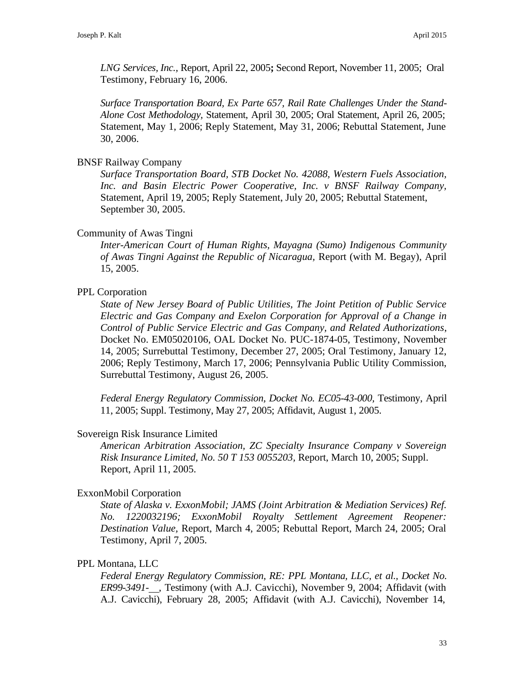*LNG Services, Inc.,* Report, April 22, 2005**;** Second Report, November 11, 2005; Oral Testimony, February 16, 2006.

*Surface Transportation Board, Ex Parte 657, Rail Rate Challenges Under the Stand-Alone Cost Methodology,* Statement, April 30, 2005; Oral Statement, April 26, 2005; Statement, May 1, 2006; Reply Statement, May 31, 2006; Rebuttal Statement, June 30, 2006.

#### BNSF Railway Company

*Surface Transportation Board, STB Docket No. 42088, Western Fuels Association, Inc. and Basin Electric Power Cooperative, Inc. v BNSF Railway Company,*  Statement, April 19, 2005; Reply Statement, July 20, 2005; Rebuttal Statement, September 30, 2005.

#### Community of Awas Tingni

*Inter-American Court of Human Rights, Mayagna (Sumo) Indigenous Community of Awas Tingni Against the Republic of Nicaragua,* Report (with M. Begay), April 15, 2005.

### PPL Corporation

*State of New Jersey Board of Public Utilities, The Joint Petition of Public Service Electric and Gas Company and Exelon Corporation for Approval of a Change in Control of Public Service Electric and Gas Company, and Related Authorizations*, Docket No. EM05020106, OAL Docket No. PUC-1874-05, Testimony, November 14, 2005; Surrebuttal Testimony, December 27, 2005; Oral Testimony, January 12, 2006; Reply Testimony, March 17, 2006; Pennsylvania Public Utility Commission, Surrebuttal Testimony, August 26, 2005.

*Federal Energy Regulatory Commission, Docket No. EC05-43-000, Testimony, April* 11, 2005; Suppl. Testimony, May 27, 2005; Affidavit, August 1, 2005.

#### Sovereign Risk Insurance Limited

*American Arbitration Association, ZC Specialty Insurance Company v Sovereign Risk Insurance Limited, No. 50 T 153 0055203,* Report, March 10, 2005; Suppl. Report, April 11, 2005.

#### ExxonMobil Corporation

*State of Alaska v. ExxonMobil; JAMS (Joint Arbitration & Mediation Services) Ref. No. 1220032196; ExxonMobil Royalty Settlement Agreement Reopener: Destination Value,* Report, March 4, 2005; Rebuttal Report, March 24, 2005; Oral Testimony, April 7, 2005.

#### PPL Montana, LLC

*Federal Energy Regulatory Commission, RE: PPL Montana, LLC, et al., Docket No. ER99-3491- ,* Testimony (with A.J. Cavicchi), November 9, 2004; Affidavit (with A.J. Cavicchi), February 28, 2005; Affidavit (with A.J. Cavicchi), November 14,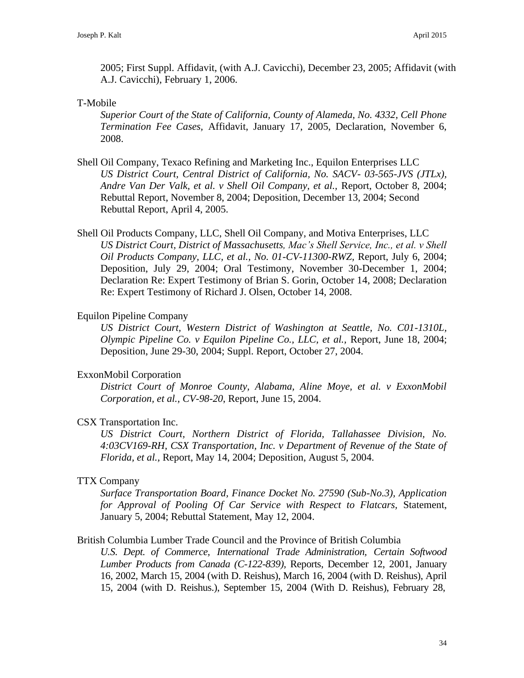2005; First Suppl. Affidavit, (with A.J. Cavicchi), December 23, 2005; Affidavit (with A.J. Cavicchi), February 1, 2006.

### T-Mobile

*Superior Court of the State of California, County of Alameda, No. 4332, Cell Phone Termination Fee Cases,* Affidavit, January 17, 2005, Declaration, November 6, 2008.

- Shell Oil Company, Texaco Refining and Marketing Inc., Equilon Enterprises LLC *US District Court, Central District of California, No. SACV- 03-565-JVS (JTLx), Andre Van Der Valk, et al. v Shell Oil Company, et al.,* Report, October 8, 2004; Rebuttal Report, November 8, 2004; Deposition, December 13, 2004; Second Rebuttal Report, April 4, 2005.
- Shell Oil Products Company, LLC, Shell Oil Company, and Motiva Enterprises, LLC *US District Court, District of Massachusetts, Mac's Shell Service, Inc., et al. v Shell Oil Products Company, LLC, et al., No. 01-CV-11300-RWZ,* Report, July 6, 2004; Deposition, July 29, 2004; Oral Testimony, November 30-December 1, 2004; Declaration Re: Expert Testimony of Brian S. Gorin, October 14, 2008; Declaration Re: Expert Testimony of Richard J. Olsen, October 14, 2008.

### Equilon Pipeline Company

*US District Court, Western District of Washington at Seattle, No. C01-1310L, Olympic Pipeline Co. v Equilon Pipeline Co., LLC, et al.,* Report, June 18, 2004; Deposition, June 29-30, 2004; Suppl. Report, October 27, 2004.

### ExxonMobil Corporation

*District Court of Monroe County, Alabama, Aline Moye, et al. v ExxonMobil Corporation, et al., CV-98-20*, Report, June 15, 2004.

### CSX Transportation Inc.

*US District Court, Northern District of Florida, Tallahassee Division, No. 4:03CV169-RH, CSX Transportation, Inc. v Department of Revenue of the State of Florida, et al.,* Report, May 14, 2004; Deposition, August 5, 2004.

### TTX Company

*Surface Transportation Board, Finance Docket No. 27590 (Sub-No.3), Application for Approval of Pooling Of Car Service with Respect to Flatcars,* Statement, January 5, 2004; Rebuttal Statement, May 12, 2004.

### British Columbia Lumber Trade Council and the Province of British Columbia

*U.S. Dept. of Commerce, International Trade Administration, Certain Softwood Lumber Products from Canada (C-122-839),* Reports, December 12, 2001, January 16, 2002, March 15, 2004 (with D. Reishus), March 16, 2004 (with D. Reishus), April 15, 2004 (with D. Reishus.), September 15, 2004 (With D. Reishus), February 28,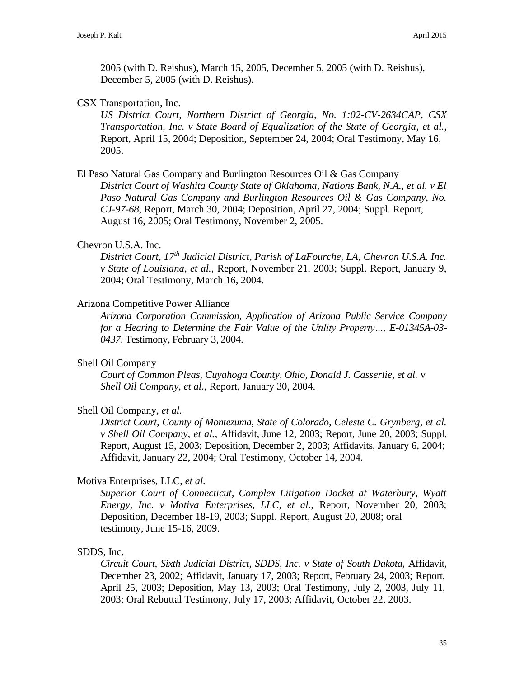2005 (with D. Reishus), March 15, 2005, December 5, 2005 (with D. Reishus), December 5, 2005 (with D. Reishus).

### CSX Transportation, Inc.

*US District Court, Northern District of Georgia, No. 1:02-CV-2634CAP, CSX Transportation, Inc. v State Board of Equalization of the State of Georgia*, *et al.,*  Report, April 15, 2004; Deposition, September 24, 2004; Oral Testimony, May 16, 2005.

### El Paso Natural Gas Company and Burlington Resources Oil & Gas Company

*District Court of Washita County State of Oklahoma, Nations Bank, N.A., et al. v El Paso Natural Gas Company and Burlington Resources Oil & Gas Company, No. CJ-97-68*, Report, March 30, 2004; Deposition, April 27, 2004; Suppl. Report, August 16, 2005; Oral Testimony, November 2, 2005.

### Chevron U.S.A. Inc.

*District Court, 17th Judicial District, Parish of LaFourche, LA, Chevron U.S.A. Inc. v State of Louisiana, et al.,* Report, November 21, 2003; Suppl. Report, January 9, 2004; Oral Testimony, March 16, 2004.

### Arizona Competitive Power Alliance

*Arizona Corporation Commission, Application of Arizona Public Service Company for a Hearing to Determine the Fair Value of the Utility Property…, E-01345A-03- 0437,* Testimony, February 3, 2004.

### Shell Oil Company

*Court of Common Pleas, Cuyahoga County, Ohio, Donald J. Casserlie, et al.* v *Shell Oil Company, et al.*, Report, January 30, 2004.

### Shell Oil Company, *et al.*

*District Court, County of Montezuma, State of Colorado, Celeste C. Grynberg, et al. v Shell Oil Company, et al.,* Affidavit, June 12, 2003; Report, June 20, 2003; Suppl. Report, August 15, 2003; Deposition, December 2, 2003; Affidavits, January 6, 2004; Affidavit, January 22, 2004; Oral Testimony, October 14, 2004.

### Motiva Enterprises, LLC, *et al.*

*Superior Court of Connecticut, Complex Litigation Docket at Waterbury, Wyatt Energy, Inc. v Motiva Enterprises, LLC, et al.,* Report, November 20, 2003; Deposition, December 18-19, 2003; Suppl. Report, August 20, 2008; oral testimony, June 15-16, 2009.

### SDDS, Inc.

*Circuit Court, Sixth Judicial District, SDDS, Inc. v State of South Dakota,* Affidavit, December 23, 2002; Affidavit, January 17, 2003; Report, February 24, 2003; Report, April 25, 2003; Deposition, May 13, 2003; Oral Testimony, July 2, 2003, July 11, 2003; Oral Rebuttal Testimony, July 17, 2003; Affidavit, October 22, 2003.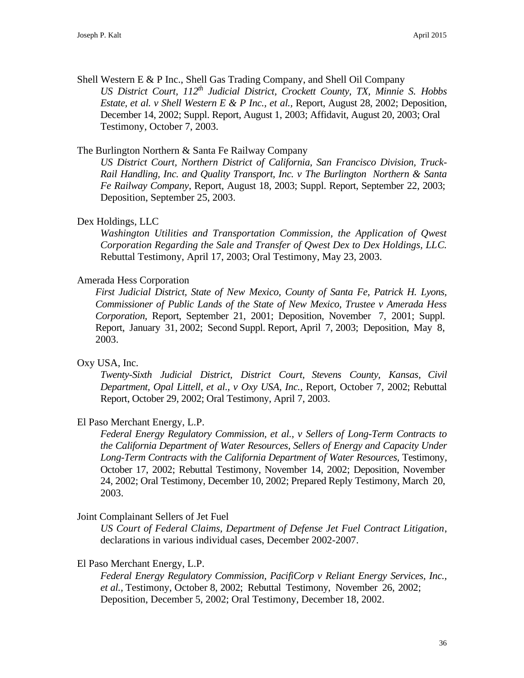Shell Western E & P Inc., Shell Gas Trading Company, and Shell Oil Company *US District Court, 112th Judicial District, Crockett County, TX, Minnie S. Hobbs Estate, et al. v Shell Western E & P Inc., et al.,* Report, August 28, 2002; Deposition, December 14, 2002; Suppl. Report, August 1, 2003; Affidavit, August 20, 2003; Oral Testimony, October 7, 2003.

### The Burlington Northern & Santa Fe Railway Company

*US District Court, Northern District of California, San Francisco Division, Truck-Rail Handling, Inc. and Quality Transport, Inc. v The Burlington Northern & Santa Fe Railway Company*, Report, August 18, 2003; Suppl. Report, September 22, 2003; Deposition, September 25, 2003.

### Dex Holdings, LLC

*Washington Utilities and Transportation Commission, the Application of Qwest Corporation Regarding the Sale and Transfer of Qwest Dex to Dex Holdings, LLC.*  Rebuttal Testimony, April 17, 2003; Oral Testimony, May 23, 2003.

### Amerada Hess Corporation

*First Judicial District, State of New Mexico, County of Santa Fe, Patrick H. Lyons, Commissioner of Public Lands of the State of New Mexico, Trustee v Amerada Hess Corporation,* Report, September 21, 2001; Deposition, November 7, 2001; Suppl. Report, January 31, 2002; Second Suppl. Report, April 7, 2003; Deposition, May 8, 2003.

# Oxy USA, Inc.

*Twenty-Sixth Judicial District, District Court, Stevens County, Kansas, Civil Department, Opal Littell, et al., v Oxy USA, Inc.,* Report, October 7, 2002; Rebuttal Report, October 29, 2002; Oral Testimony, April 7, 2003.

### El Paso Merchant Energy, L.P.

*Federal Energy Regulatory Commission, et al., v Sellers of Long-Term Contracts to the California Department of Water Resources, Sellers of Energy and Capacity Under*  Long-Term Contracts with the California Department of Water Resources, Testimony, October 17, 2002; Rebuttal Testimony, November 14, 2002; Deposition, November 24, 2002; Oral Testimony, December 10, 2002; Prepared Reply Testimony, March 20, 2003.

### Joint Complainant Sellers of Jet Fuel

*US Court of Federal Claims, Department of Defense Jet Fuel Contract Litigation*, declarations in various individual cases, December 2002-2007.

### El Paso Merchant Energy, L.P.

*Federal Energy Regulatory Commission, PacifiCorp v Reliant Energy Services, Inc., et al.,* Testimony, October 8, 2002; Rebuttal Testimony, November 26, 2002; Deposition, December 5, 2002; Oral Testimony, December 18, 2002.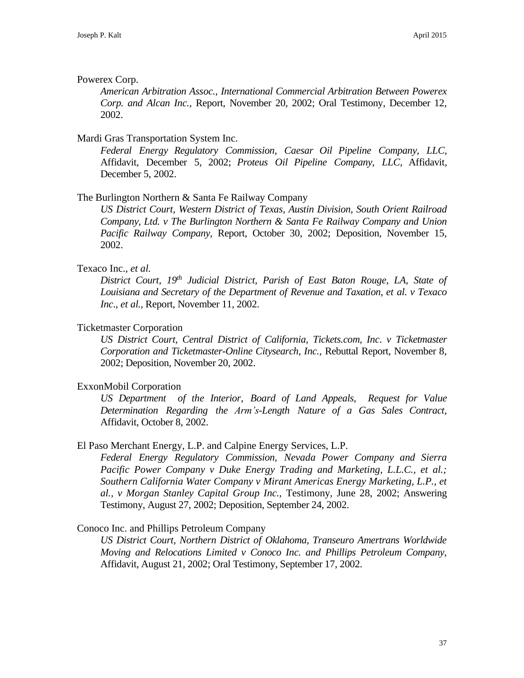### Powerex Corp.

*American Arbitration Assoc., International Commercial Arbitration Between Powerex Corp. and Alcan Inc.,* Report, November 20, 2002; Oral Testimony, December 12, 2002.

# Mardi Gras Transportation System Inc.

*Federal Energy Regulatory Commission, Caesar Oil Pipeline Company, LLC,*  Affidavit, December 5, 2002; *Proteus Oil Pipeline Company, LLC,* Affidavit, December 5, 2002.

### The Burlington Northern & Santa Fe Railway Company

*US District Court, Western District of Texas, Austin Division, South Orient Railroad Company, Ltd. v The Burlington Northern & Santa Fe Railway Company and Union Pacific Railway Company,* Report, October 30, 2002; Deposition, November 15, 2002.

### Texaco Inc., *et al.*

*District Court, 19th Judicial District, Parish of East Baton Rouge, LA, State of Louisiana and Secretary of the Department of Revenue and Taxation, et al. v Texaco Inc*., *et al.,* Report, November 11, 2002.

### Ticketmaster Corporation

*US District Court, Central District of California, Tickets.com, Inc*. *v Ticketmaster Corporation and Ticketmaster-Online Citysearch, Inc.,* Rebuttal Report, November 8, 2002; Deposition, November 20, 2002.

### ExxonMobil Corporation

*US Department of the Interior, Board of Land Appeals, Request for Value Determination Regarding the Arm's-Length Nature of a Gas Sales Contract,*  Affidavit, October 8, 2002.

### El Paso Merchant Energy, L.P. and Calpine Energy Services, L.P.

*Federal Energy Regulatory Commission, Nevada Power Company and Sierra Pacific Power Company v Duke Energy Trading and Marketing, L.L.C., et al.; Southern California Water Company v Mirant Americas Energy Marketing, L.P., et al., v Morgan Stanley Capital Group Inc.,* Testimony, June 28, 2002; Answering Testimony, August 27, 2002; Deposition, September 24, 2002.

### Conoco Inc. and Phillips Petroleum Company

*US District Court, Northern District of Oklahoma, Transeuro Amertrans Worldwide Moving and Relocations Limited v Conoco Inc. and Phillips Petroleum Company,*  Affidavit, August 21, 2002; Oral Testimony, September 17, 2002.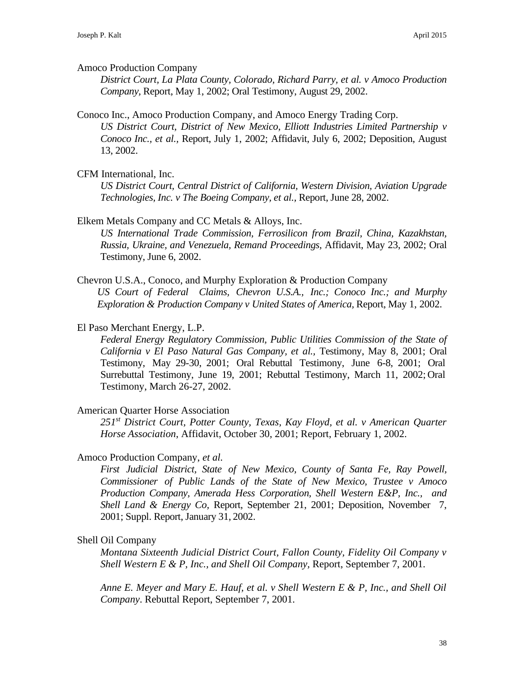#### Amoco Production Company

*District Court, La Plata County, Colorado, Richard Parry, et al. v Amoco Production Company,* Report, May 1, 2002; Oral Testimony, August 29, 2002.

#### Conoco Inc., Amoco Production Company, and Amoco Energy Trading Corp.

*US District Court, District of New Mexico, Elliott Industries Limited Partnership v Conoco Inc., et al.,* Report, July 1, 2002; Affidavit, July 6, 2002; Deposition, August 13, 2002.

### CFM International, Inc.

*US District Court, Central District of California, Western Division, Aviation Upgrade Technologies, Inc. v The Boeing Company, et al.,* Report, June 28, 2002.

#### Elkem Metals Company and CC Metals & Alloys, Inc.

*US International Trade Commission, Ferrosilicon from Brazil, China, Kazakhstan, Russia, Ukraine, and Venezuela, Remand Proceedings,* Affidavit, May 23, 2002; Oral Testimony, June 6, 2002.

Chevron U.S.A., Conoco, and Murphy Exploration & Production Company *US Court of Federal Claims, Chevron U.S.A., Inc.; Conoco Inc.; and Murphy Exploration & Production Company v United States of America, Report, May 1, 2002.* 

### El Paso Merchant Energy, L.P.

*Federal Energy Regulatory Commission, Public Utilities Commission of the State of California v El Paso Natural Gas Company, et al.,* Testimony, May 8, 2001; Oral Testimony, May 29-30, 2001; Oral Rebuttal Testimony, June 6-8, 2001; Oral Surrebuttal Testimony, June 19, 2001; Rebuttal Testimony, March 11, 2002; Oral Testimony, March 26-27, 2002.

#### American Quarter Horse Association

*251st District Court, Potter County, Texas, Kay Floyd, et al. v American Quarter Horse Association*, Affidavit, October 30, 2001; Report, February 1, 2002.

### Amoco Production Company, *et al.*

*First Judicial District, State of New Mexico, County of Santa Fe, Ray Powell, Commissioner of Public Lands of the State of New Mexico, Trustee v Amoco Production Company, Amerada Hess Corporation, Shell Western E&P, Inc., and Shell Land & Energy Co,* Report, September 21, 2001; Deposition, November 7, 2001; Suppl. Report, January 31, 2002.

### Shell Oil Company

*Montana Sixteenth Judicial District Court, Fallon County, Fidelity Oil Company v Shell Western E & P, Inc., and Shell Oil Company,* Report, September 7, 2001.

*Anne E. Meyer and Mary E. Hauf, et al. v Shell Western E & P, Inc., and Shell Oil Company*. Rebuttal Report, September 7, 2001.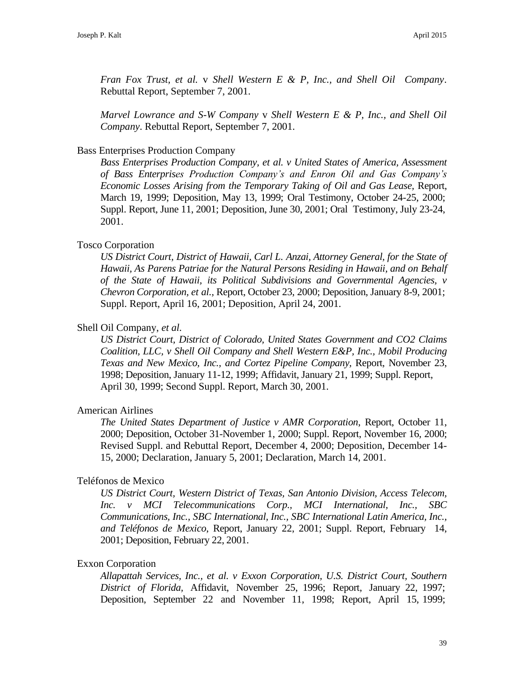*Fran Fox Trust, et al.* v *Shell Western E & P, Inc., and Shell Oil Company*. Rebuttal Report, September 7, 2001.

*Marvel Lowrance and S-W Company* v *Shell Western E & P, Inc., and Shell Oil Company*. Rebuttal Report, September 7, 2001.

### Bass Enterprises Production Company

*Bass Enterprises Production Company, et al. v United States of America, Assessment of Bass Enterprises Production Company's and Enron Oil and Gas Company's Economic Losses Arising from the Temporary Taking of Oil and Gas Lease,* Report, March 19, 1999; Deposition, May 13, 1999; Oral Testimony, October 24-25, 2000; Suppl. Report, June 11, 2001; Deposition, June 30, 2001; Oral Testimony, July 23-24, 2001.

### Tosco Corporation

*US District Court, District of Hawaii, Carl L. Anzai, Attorney General, for the State of Hawaii, As Parens Patriae for the Natural Persons Residing in Hawaii, and on Behalf of the State of Hawaii, its Political Subdivisions and Governmental Agencies, v Chevron Corporation, et al.,* Report, October 23, 2000; Deposition, January 8-9, 2001; Suppl. Report, April 16, 2001; Deposition, April 24, 2001.

### Shell Oil Company, *et al.*

*US District Court, District of Colorado, United States Government and CO2 Claims Coalition, LLC, v Shell Oil Company and Shell Western E&P, Inc., Mobil Producing Texas and New Mexico, Inc., and Cortez Pipeline Company,* Report, November 23, 1998; Deposition, January 11-12, 1999; Affidavit, January 21, 1999; Suppl. Report, April 30, 1999; Second Suppl. Report, March 30, 2001.

### American Airlines

*The United States Department of Justice v AMR Corporation*, Report, October 11, 2000; Deposition, October 31-November 1, 2000; Suppl. Report, November 16, 2000; Revised Suppl. and Rebuttal Report, December 4, 2000; Deposition, December 14- 15, 2000; Declaration, January 5, 2001; Declaration, March 14, 2001.

### Teléfonos de Mexico

*US District Court, Western District of Texas, San Antonio Division, Access Telecom, Inc. v MCI Telecommunications Corp., MCI International, Inc., SBC Communications, Inc., SBC International, Inc., SBC International Latin America, Inc., and Teléfonos de Mexico*, Report, January 22, 2001; Suppl. Report, February 14, 2001; Deposition, February 22, 2001.

### Exxon Corporation

*Allapattah Services, Inc., et al. v Exxon Corporation, U.S. District Court, Southern District of Florida,* Affidavit, November 25, 1996; Report, January 22, 1997; Deposition, September 22 and November 11, 1998; Report, April 15, 1999;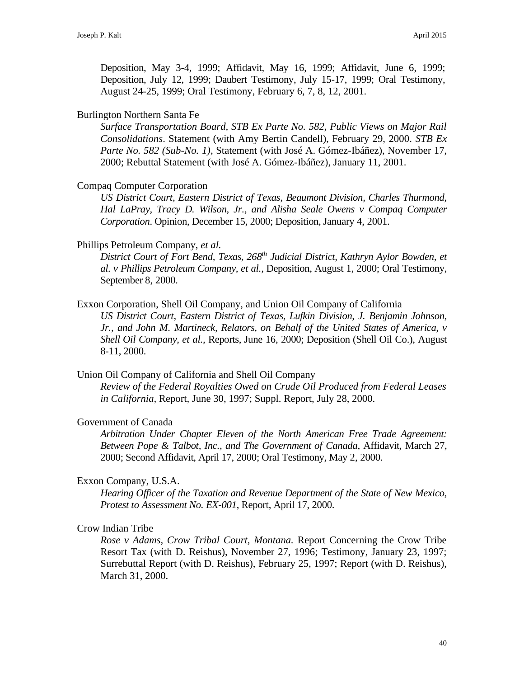Deposition, May 3-4, 1999; Affidavit, May 16, 1999; Affidavit, June 6, 1999; Deposition, July 12, 1999; Daubert Testimony, July 15-17, 1999; Oral Testimony, August 24-25, 1999; Oral Testimony, February 6, 7, 8, 12, 2001.

### Burlington Northern Santa Fe

*Surface Transportation Board, STB Ex Parte No. 582, Public Views on Major Rail Consolidations*. Statement (with Amy Bertin Candell), February 29, 2000. *STB Ex Parte No. 582 (Sub-No. 1),* Statement (with José A. Gómez-Ibáñez), November 17, 2000; Rebuttal Statement (with José A. Gómez-Ibáñez), January 11, 2001.

### Compaq Computer Corporation

*US District Court, Eastern District of Texas, Beaumont Division, Charles Thurmond, Hal LaPray, Tracy D. Wilson, Jr., and Alisha Seale Owens v Compaq Computer Corporation*. Opinion, December 15, 2000; Deposition, January 4, 2001.

### Phillips Petroleum Company, *et al.*

*District Court of Fort Bend, Texas, 268th Judicial District, Kathryn Aylor Bowden, et al. v Phillips Petroleum Company, et al.,* Deposition, August 1, 2000; Oral Testimony, September 8, 2000.

Exxon Corporation, Shell Oil Company, and Union Oil Company of California

*US District Court, Eastern District of Texas, Lufkin Division, J. Benjamin Johnson, Jr., and John M. Martineck, Relators, on Behalf of the United States of America, v Shell Oil Company, et al.,* Reports, June 16, 2000; Deposition (Shell Oil Co.), August 8-11, 2000.

Union Oil Company of California and Shell Oil Company

*Review of the Federal Royalties Owed on Crude Oil Produced from Federal Leases in California,* Report, June 30, 1997; Suppl. Report, July 28, 2000.

### Government of Canada

*Arbitration Under Chapter Eleven of the North American Free Trade Agreement: Between Pope & Talbot, Inc., and The Government of Canada*, Affidavit, March 27, 2000; Second Affidavit, April 17, 2000; Oral Testimony, May 2, 2000.

### Exxon Company, U.S.A.

*Hearing Officer of the Taxation and Revenue Department of the State of New Mexico, Protest to Assessment No. EX-001*, Report, April 17, 2000.

### Crow Indian Tribe

*Rose v Adams, Crow Tribal Court, Montana.* Report Concerning the Crow Tribe Resort Tax (with D. Reishus), November 27, 1996; Testimony, January 23, 1997; Surrebuttal Report (with D. Reishus), February 25, 1997; Report (with D. Reishus), March 31, 2000.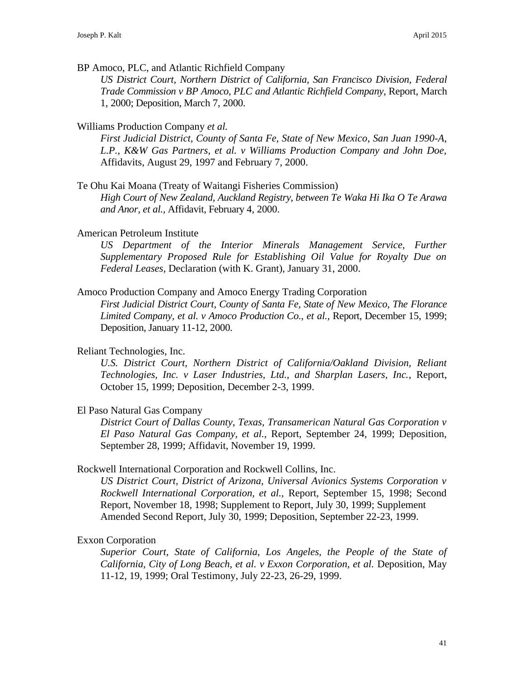BP Amoco, PLC, and Atlantic Richfield Company

*US District Court, Northern District of California, San Francisco Division, Federal Trade Commission v BP Amoco, PLC and Atlantic Richfield Company*, Report, March 1, 2000; Deposition, March 7, 2000.

### Williams Production Company *et al.*

*First Judicial District, County of Santa Fe, State of New Mexico*, *San Juan 1990-A, L.P., K&W Gas Partners, et al. v Williams Production Company and John Doe,*  Affidavits, August 29, 1997 and February 7, 2000.

Te Ohu Kai Moana (Treaty of Waitangi Fisheries Commission)

*High Court of New Zealand, Auckland Registry, between Te Waka Hi Ika O Te Arawa and Anor, et al.,* Affidavit, February 4, 2000.

American Petroleum Institute

US Department of the Interior Minerals Management Service, Further *Supplementary Proposed Rule for Establishing Oil Value for Royalty Due on Federal Leases,* Declaration (with K. Grant), January 31, 2000.

### Amoco Production Company and Amoco Energy Trading Corporation

*First Judicial District Court, County of Santa Fe, State of New Mexico, The Florance Limited Company, et al. v Amoco Production Co., et al.,* Report, December 15, 1999; Deposition, January 11-12, 2000.

### Reliant Technologies, Inc.

*U.S. District Court, Northern District of California/Oakland Division, Reliant Technologies, Inc. v Laser Industries, Ltd., and Sharplan Lasers, Inc.*, Report, October 15, 1999; Deposition, December 2-3, 1999.

### El Paso Natural Gas Company

*District Court of Dallas County, Texas, Transamerican Natural Gas Corporation v El Paso Natural Gas Company, et al.,* Report, September 24, 1999; Deposition, September 28, 1999; Affidavit, November 19, 1999.

### Rockwell International Corporation and Rockwell Collins, Inc.

*US District Court, District of Arizona, Universal Avionics Systems Corporation v Rockwell International Corporation, et al.,* Report, September 15, 1998; Second Report, November 18, 1998; Supplement to Report, July 30, 1999; Supplement Amended Second Report, July 30, 1999; Deposition, September 22-23, 1999.

### Exxon Corporation

*Superior Court, State of California, Los Angeles, the People of the State of California, City of Long Beach, et al. v Exxon Corporation, et al. Deposition, May* 11-12, 19, 1999; Oral Testimony, July 22-23, 26-29, 1999.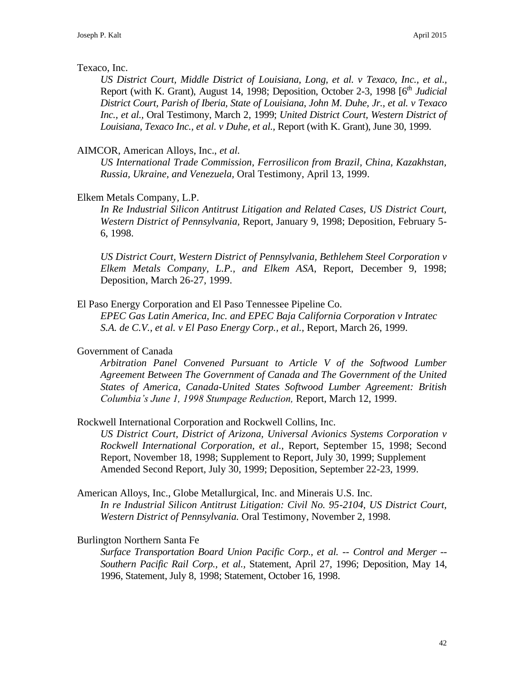### Texaco, Inc.

*US District Court, Middle District of Louisiana*, *Long, et al. v Texaco, Inc., et al.,*  Report (with K. Grant), August 14, 1998; Deposition, October 2-3, 1998 [6*th Judicial District Court, Parish of Iberia, State of Louisiana*, *John M. Duhe, Jr., et al. v Texaco Inc., et al.,* Oral Testimony, March 2, 1999; *United District Court, Western District of Louisiana, Texaco Inc., et al. v Duhe, et al.,* Report (with K. Grant), June 30, 1999.

### AIMCOR, American Alloys, Inc., *et al.*

*US International Trade Commission, Ferrosilicon from Brazil, China, Kazakhstan, Russia, Ukraine, and Venezuela,* Oral Testimony, April 13, 1999.

### Elkem Metals Company, L.P.

*In Re Industrial Silicon Antitrust Litigation and Related Cases, US District Court, Western District of Pennsylvania,* Report, January 9, 1998; Deposition, February 5- 6, 1998.

*US District Court, Western District of Pennsylvania, Bethlehem Steel Corporation v Elkem Metals Company, L.P., and Elkem ASA*, Report, December 9, 1998; Deposition, March 26-27, 1999.

### El Paso Energy Corporation and El Paso Tennessee Pipeline Co.

*EPEC Gas Latin America, Inc. and EPEC Baja California Corporation v Intratec S.A. de C.V., et al. v El Paso Energy Corp., et al.,* Report, March 26, 1999.

### Government of Canada

*Arbitration Panel Convened Pursuant to Article V of the Softwood Lumber Agreement Between The Government of Canada and The Government of the United States of America, Canada-United States Softwood Lumber Agreement: British Columbia's June 1, 1998 Stumpage Reduction,* Report, March 12, 1999.

### Rockwell International Corporation and Rockwell Collins, Inc.

*US District Court, District of Arizona, Universal Avionics Systems Corporation v Rockwell International Corporation, et al.,* Report, September 15, 1998; Second Report, November 18, 1998; Supplement to Report, July 30, 1999; Supplement Amended Second Report, July 30, 1999; Deposition, September 22-23, 1999.

American Alloys, Inc., Globe Metallurgical, Inc. and Minerais U.S. Inc. *In re Industrial Silicon Antitrust Litigation: Civil No. 95-2104, US District Court, Western District of Pennsylvania.* Oral Testimony, November 2, 1998.

### Burlington Northern Santa Fe

*Surface Transportation Board Union Pacific Corp., et al. -- Control and Merger -- Southern Pacific Rail Corp., et al.,* Statement, April 27, 1996; Deposition, May 14, 1996, Statement, July 8, 1998; Statement, October 16, 1998.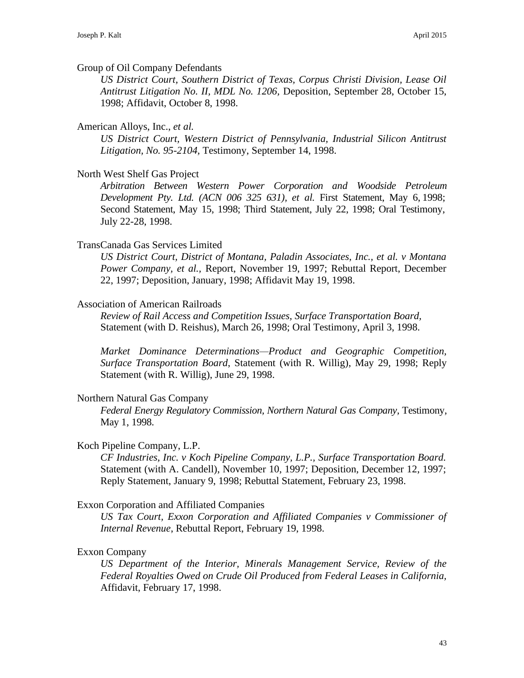#### Group of Oil Company Defendants

*US District Court, Southern District of Texas, Corpus Christi Division, Lease Oil Antitrust Litigation No. II, MDL No. 1206,* Deposition, September 28, October 15, 1998; Affidavit, October 8, 1998.

### American Alloys, Inc., *et al.*

*US District Court, Western District of Pennsylvania, Industrial Silicon Antitrust Litigation, No. 95-2104,* Testimony, September 14, 1998.

### North West Shelf Gas Project

*Arbitration Between Western Power Corporation and Woodside Petroleum Development Pty. Ltd. (ACN 006 325 631), et al.* First Statement, May 6, 1998; Second Statement, May 15, 1998; Third Statement, July 22, 1998; Oral Testimony, July 22-28, 1998.

#### TransCanada Gas Services Limited

*US District Court, District of Montana, Paladin Associates, Inc., et al. v Montana Power Company, et al.,* Report, November 19, 1997; Rebuttal Report, December 22, 1997; Deposition, January, 1998; Affidavit May 19, 1998.

### Association of American Railroads

*Review of Rail Access and Competition Issues, Surface Transportation Board,* Statement (with D. Reishus), March 26, 1998; Oral Testimony, April 3, 1998.

*Market Dominance Determinations—Product and Geographic Competition, Surface Transportation Board*, Statement (with R. Willig), May 29, 1998; Reply Statement (with R. Willig), June 29, 1998.

#### Northern Natural Gas Company

*Federal Energy Regulatory Commission, Northern Natural Gas Company,* Testimony, May 1, 1998.

### Koch Pipeline Company, L.P.

*CF Industries, Inc. v Koch Pipeline Company, L.P., Surface Transportation Board.* Statement (with A. Candell), November 10, 1997; Deposition, December 12, 1997; Reply Statement, January 9, 1998; Rebuttal Statement, February 23, 1998.

#### Exxon Corporation and Affiliated Companies

*US Tax Court, Exxon Corporation and Affiliated Companies v Commissioner of Internal Revenue*, Rebuttal Report, February 19, 1998.

#### Exxon Company

*US Department of the Interior, Minerals Management Service, Review of the Federal Royalties Owed on Crude Oil Produced from Federal Leases in California,*  Affidavit, February 17, 1998.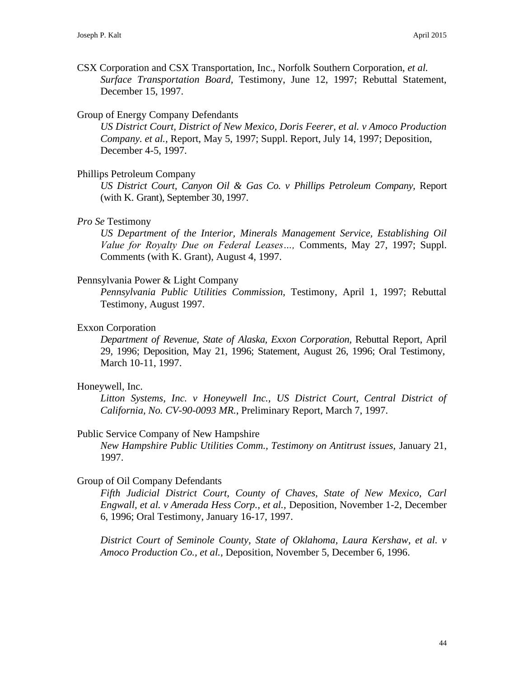CSX Corporation and CSX Transportation, Inc., Norfolk Southern Corporation, *et al. Surface Transportation Board,* Testimony, June 12, 1997; Rebuttal Statement, December 15, 1997.

### Group of Energy Company Defendants

*US District Court, District of New Mexico, Doris Feerer, et al. v Amoco Production Company. et al.,* Report, May 5, 1997; Suppl. Report, July 14, 1997; Deposition, December 4-5, 1997.

### Phillips Petroleum Company

*US District Court, Canyon Oil & Gas Co. v Phillips Petroleum Company,* Report (with K. Grant), September 30, 1997.

### *Pro Se* Testimony

*US Department of the Interior, Minerals Management Service, Establishing Oil Value for Royalty Due on Federal Leases…,* Comments, May 27, 1997; Suppl. Comments (with K. Grant), August 4, 1997.

### Pennsylvania Power & Light Company

*Pennsylvania Public Utilities Commission,* Testimony, April 1, 1997; Rebuttal Testimony, August 1997.

### Exxon Corporation

*Department of Revenue, State of Alaska, Exxon Corporation,* Rebuttal Report, April 29, 1996; Deposition, May 21, 1996; Statement, August 26, 1996; Oral Testimony, March 10-11, 1997.

### Honeywell, Inc.

*Litton Systems, Inc. v Honeywell Inc., US District Court, Central District of California, No. CV-90-0093 MR.*, Preliminary Report, March 7, 1997.

### Public Service Company of New Hampshire

*New Hampshire Public Utilities Comm., Testimony on Antitrust issues,* January 21, 1997.

### Group of Oil Company Defendants

*Fifth Judicial District Court, County of Chaves, State of New Mexico, Carl Engwall, et al. v Amerada Hess Corp., et al.,* Deposition, November 1-2, December 6, 1996; Oral Testimony, January 16-17, 1997.

*District Court of Seminole County, State of Oklahoma, Laura Kershaw, et al. v Amoco Production Co., et al.,* Deposition, November 5, December 6, 1996.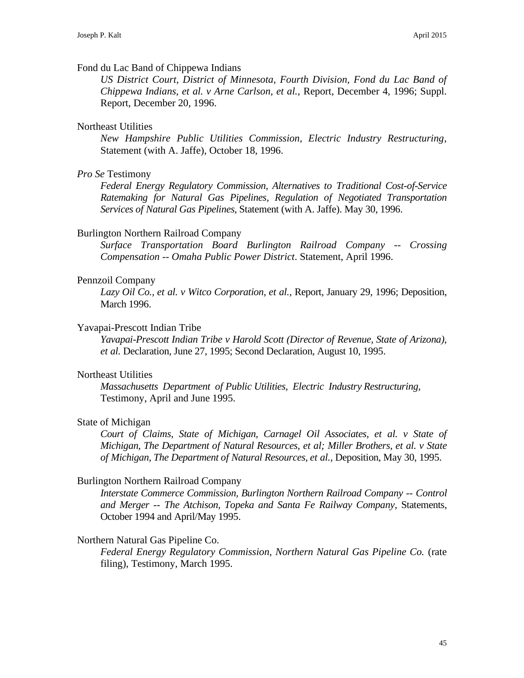### Fond du Lac Band of Chippewa Indians

*US District Court, District of Minnesota, Fourth Division, Fond du Lac Band of Chippewa Indians, et al. v Arne Carlson, et al.,* Report, December 4, 1996; Suppl. Report, December 20, 1996.

### Northeast Utilities

*New Hampshire Public Utilities Commission, Electric Industry Restructuring*, Statement (with A. Jaffe), October 18, 1996.

### *Pro Se* Testimony

*Federal Energy Regulatory Commission, Alternatives to Traditional Cost-of-Service Ratemaking for Natural Gas Pipelines, Regulation of Negotiated Transportation Services of Natural Gas Pipelines,* Statement (with A. Jaffe). May 30, 1996.

### Burlington Northern Railroad Company

*Surface Transportation Board Burlington Railroad Company -- Crossing Compensation -- Omaha Public Power District*. Statement, April 1996.

### Pennzoil Company

*Lazy Oil Co., et al. v Witco Corporation, et al.,* Report, January 29, 1996; Deposition, March 1996.

### Yavapai-Prescott Indian Tribe

*Yavapai-Prescott Indian Tribe v Harold Scott (Director of Revenue, State of Arizona), et al.* Declaration, June 27, 1995; Second Declaration, August 10, 1995.

### Northeast Utilities

*Massachusetts Department of Public Utilities, Electric Industry Restructuring,* Testimony, April and June 1995.

### State of Michigan

*Court of Claims, State of Michigan, Carnagel Oil Associates, et al. v State of Michigan, The Department of Natural Resources, et al; Miller Brothers, et al. v State of Michigan, The Department of Natural Resources, et al.,* Deposition, May 30, 1995.

### Burlington Northern Railroad Company

*Interstate Commerce Commission, Burlington Northern Railroad Company -- Control and Merger -- The Atchison, Topeka and Santa Fe Railway Company*, Statements, October 1994 and April/May 1995.

### Northern Natural Gas Pipeline Co.

*Federal Energy Regulatory Commission, Northern Natural Gas Pipeline Co.* (rate filing), Testimony, March 1995.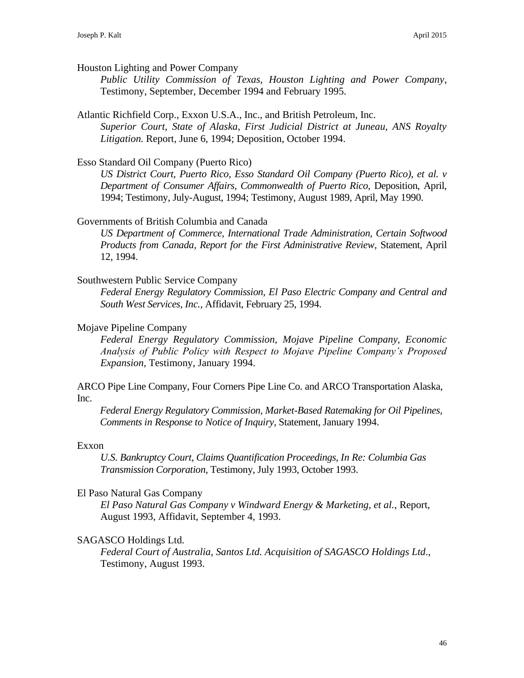### Houston Lighting and Power Company

*Public Utility Commission of Texas, Houston Lighting and Power Company*, Testimony, September, December 1994 and February 1995.

### Atlantic Richfield Corp., Exxon U.S.A., Inc., and British Petroleum, Inc.

*Superior Court, State of Alaska, First Judicial District at Juneau, ANS Royalty Litigation.* Report, June 6, 1994; Deposition, October 1994.

#### Esso Standard Oil Company (Puerto Rico)

*US District Court, Puerto Rico, Esso Standard Oil Company (Puerto Rico), et al. v Department of Consumer Affairs, Commonwealth of Puerto Rico,* Deposition, April, 1994; Testimony, July-August, 1994; Testimony, August 1989, April, May 1990.

### Governments of British Columbia and Canada

*US Department of Commerce, International Trade Administration, Certain Softwood Products from Canada, Report for the First Administrative Review,* Statement, April 12, 1994.

### Southwestern Public Service Company

*Federal Energy Regulatory Commission, El Paso Electric Company and Central and South West Services, Inc.,* Affidavit, February 25, 1994.

#### Mojave Pipeline Company

*Federal Energy Regulatory Commission, Mojave Pipeline Company, Economic Analysis of Public Policy with Respect to Mojave Pipeline Company's Proposed Expansion,* Testimony, January 1994.

ARCO Pipe Line Company, Four Corners Pipe Line Co. and ARCO Transportation Alaska, Inc.

*Federal Energy Regulatory Commission, Market-Based Ratemaking for Oil Pipelines, Comments in Response to Notice of Inquiry,* Statement, January 1994.

#### Exxon

*U.S. Bankruptcy Court, Claims Quantification Proceedings, In Re: Columbia Gas Transmission Corporation,* Testimony, July 1993, October 1993.

#### El Paso Natural Gas Company

*El Paso Natural Gas Company v Windward Energy & Marketing, et al.*, Report, August 1993, Affidavit, September 4, 1993.

#### SAGASCO Holdings Ltd.

*Federal Court of Australia, Santos Ltd. Acquisition of SAGASCO Holdings Ltd*., Testimony, August 1993.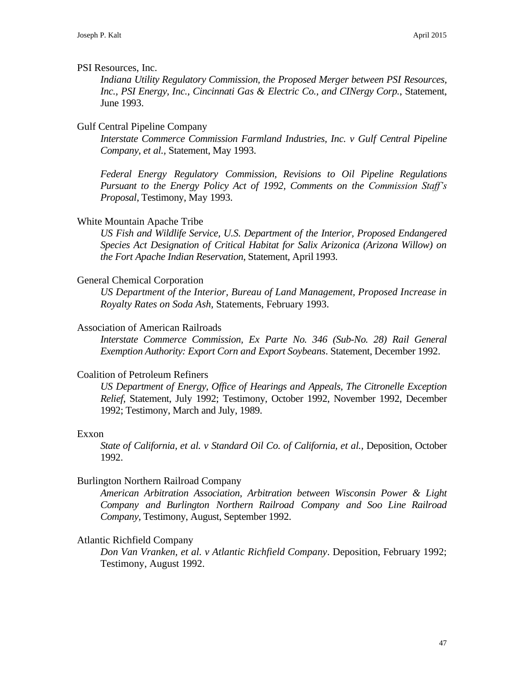### PSI Resources, Inc.

*Indiana Utility Regulatory Commission, the Proposed Merger between PSI Resources, Inc., PSI Energy, Inc., Cincinnati Gas & Electric Co., and CINergy Corp.*, Statement, June 1993.

### Gulf Central Pipeline Company

*Interstate Commerce Commission Farmland Industries, Inc. v Gulf Central Pipeline Company, et al.,* Statement, May 1993.

*Federal Energy Regulatory Commission, Revisions to Oil Pipeline Regulations Pursuant to the Energy Policy Act of 1992, Comments on the Commission Staff's Proposal*, Testimony, May 1993.

### White Mountain Apache Tribe

*US Fish and Wildlife Service, U.S. Department of the Interior, Proposed Endangered Species Act Designation of Critical Habitat for Salix Arizonica (Arizona Willow) on the Fort Apache Indian Reservation*, Statement, April 1993.

### General Chemical Corporation

*US Department of the Interior, Bureau of Land Management, Proposed Increase in Royalty Rates on Soda Ash,* Statements, February 1993.

### Association of American Railroads

*Interstate Commerce Commission, Ex Parte No. 346 (Sub-No. 28) Rail General Exemption Authority: Export Corn and Export Soybeans*. Statement, December 1992.

### Coalition of Petroleum Refiners

*US Department of Energy, Office of Hearings and Appeals, The Citronelle Exception Relief,* Statement, July 1992; Testimony, October 1992, November 1992, December 1992; Testimony, March and July, 1989.

### Exxon

*State of California, et al. v Standard Oil Co. of California, et al.,* Deposition, October 1992.

### Burlington Northern Railroad Company

*American Arbitration Association, Arbitration between Wisconsin Power & Light Company and Burlington Northern Railroad Company and Soo Line Railroad Company,* Testimony, August, September 1992.

### Atlantic Richfield Company

*Don Van Vranken, et al. v Atlantic Richfield Company*. Deposition, February 1992; Testimony, August 1992.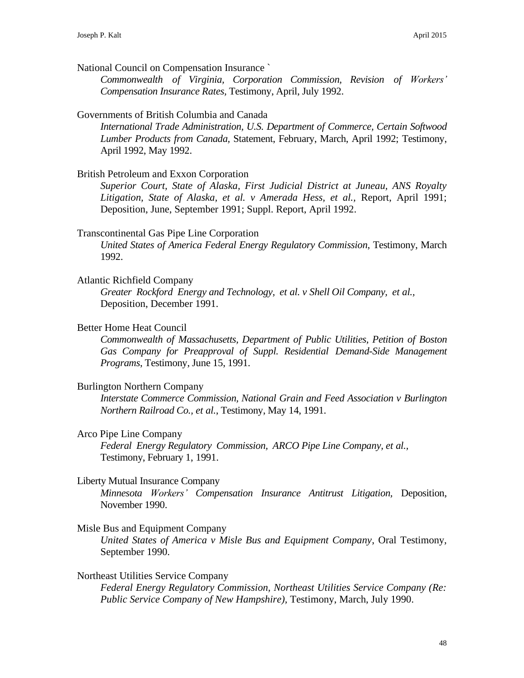National Council on Compensation Insurance `

*Commonwealth of Virginia, Corporation Commission, Revision of Workers' Compensation Insurance Rates,* Testimony, April, July 1992.

#### Governments of British Columbia and Canada

*International Trade Administration, U.S. Department of Commerce, Certain Softwood Lumber Products from Canada,* Statement, February, March, April 1992; Testimony, April 1992, May 1992.

### British Petroleum and Exxon Corporation

*Superior Court, State of Alaska, First Judicial District at Juneau, ANS Royalty Litigation, State of Alaska, et al. v Amerada Hess, et al.,* Report, April 1991; Deposition, June, September 1991; Suppl. Report, April 1992.

#### Transcontinental Gas Pipe Line Corporation

*United States of America Federal Energy Regulatory Commission*, Testimony, March 1992.

#### Atlantic Richfield Company

*Greater Rockford Energy and Technology, et al. v Shell Oil Company, et al.,* Deposition, December 1991.

#### Better Home Heat Council

*Commonwealth of Massachusetts, Department of Public Utilities, Petition of Boston Gas Company for Preapproval of Suppl. Residential Demand-Side Management Programs*, Testimony, June 15, 1991.

### Burlington Northern Company

*Interstate Commerce Commission, National Grain and Feed Association v Burlington Northern Railroad Co., et al.*, Testimony, May 14, 1991.

### Arco Pipe Line Company

*Federal Energy Regulatory Commission, ARCO Pipe Line Company, et al.,* Testimony, February 1, 1991.

#### Liberty Mutual Insurance Company

*Minnesota Workers' Compensation Insurance Antitrust Litigation,* Deposition, November 1990.

#### Misle Bus and Equipment Company

*United States of America v Misle Bus and Equipment Company*, Oral Testimony, September 1990.

### Northeast Utilities Service Company

*Federal Energy Regulatory Commission, Northeast Utilities Service Company (Re: Public Service Company of New Hampshire),* Testimony, March, July 1990.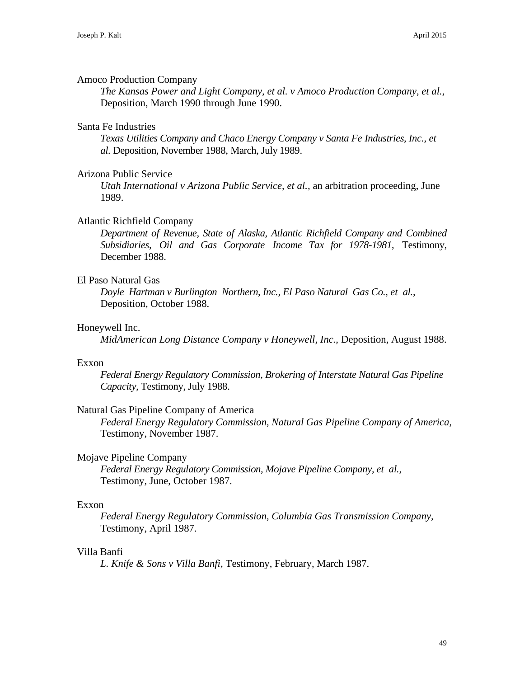### Amoco Production Company

*The Kansas Power and Light Company, et al. v Amoco Production Company, et al.,* Deposition, March 1990 through June 1990.

## Santa Fe Industries

*Texas Utilities Company and Chaco Energy Company v Santa Fe Industries, Inc., et al.* Deposition, November 1988, March, July 1989.

### Arizona Public Service

*Utah International v Arizona Public Service, et al.,* an arbitration proceeding, June 1989.

### Atlantic Richfield Company

*Department of Revenue, State of Alaska, Atlantic Richfield Company and Combined Subsidiaries, Oil and Gas Corporate Income Tax for 1978-1981*, Testimony, December 1988.

### El Paso Natural Gas

*Doyle Hartman v Burlington Northern, Inc., El Paso Natural Gas Co., et al.,* Deposition, October 1988.

### Honeywell Inc.

*MidAmerican Long Distance Company v Honeywell, Inc.,* Deposition, August 1988.

### Exxon

*Federal Energy Regulatory Commission, Brokering of Interstate Natural Gas Pipeline Capacity,* Testimony, July 1988.

### Natural Gas Pipeline Company of America

*Federal Energy Regulatory Commission, Natural Gas Pipeline Company of America,* Testimony, November 1987.

### Mojave Pipeline Company

*Federal Energy Regulatory Commission, Mojave Pipeline Company, et al.,* Testimony, June, October 1987.

### Exxon

*Federal Energy Regulatory Commission, Columbia Gas Transmission Company,* Testimony, April 1987.

### Villa Banfi

*L. Knife & Sons v Villa Banfi,* Testimony, February, March 1987.